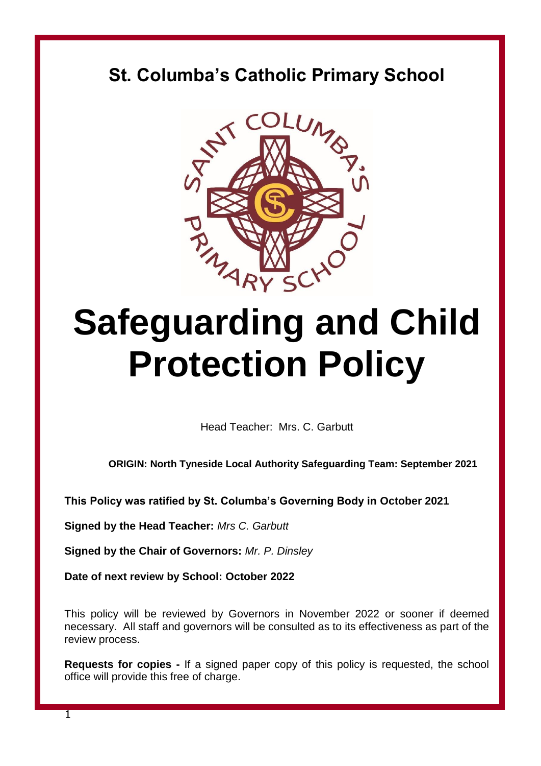# **St. Columba's Catholic Primary School**



# **Safeguarding and Child Protection Policy**

Head Teacher: Mrs. C. Garbutt

**ORIGIN: North Tyneside Local Authority Safeguarding Team: September 2021**

**This Policy was ratified by St. Columba's Governing Body in October 2021**

**Signed by the Head Teacher:** *Mrs C. Garbutt*

**Signed by the Chair of Governors:** *Mr. P. Dinsley*

**Date of next review by School: October 2022**

This policy will be reviewed by Governors in November 2022 or sooner if deemed necessary. All staff and governors will be consulted as to its effectiveness as part of the review process.

**Requests for copies -** If a signed paper copy of this policy is requested, the school office will provide this free of charge.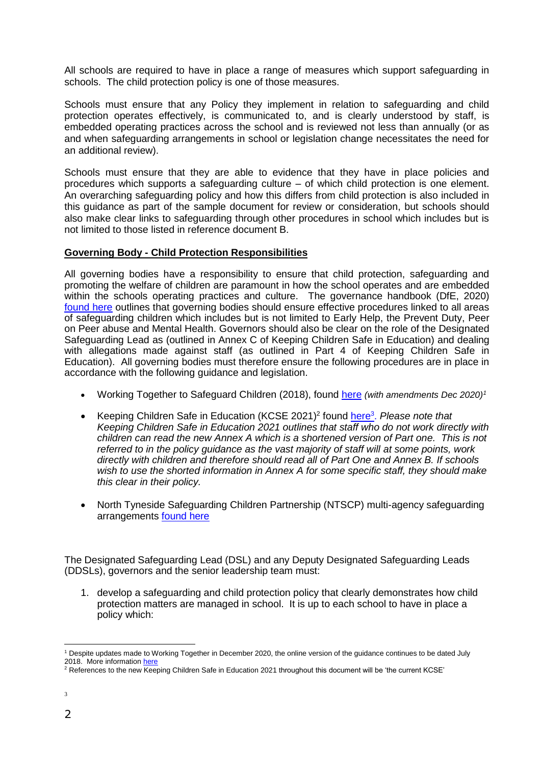All schools are required to have in place a range of measures which support safeguarding in schools. The child protection policy is one of those measures.

Schools must ensure that any Policy they implement in relation to safeguarding and child protection operates effectively, is communicated to, and is clearly understood by staff, is embedded operating practices across the school and is reviewed not less than annually (or as and when safeguarding arrangements in school or legislation change necessitates the need for an additional review).

Schools must ensure that they are able to evidence that they have in place policies and procedures which supports a safeguarding culture – of which child protection is one element. An overarching safeguarding policy and how this differs from child protection is also included in this guidance as part of the sample document for review or consideration, but schools should also make clear links to safeguarding through other procedures in school which includes but is not limited to those listed in reference document B.

#### **Governing Body - Child Protection Responsibilities**

All governing bodies have a responsibility to ensure that child protection, safeguarding and promoting the welfare of children are paramount in how the school operates and are embedded within the schools operating practices and culture. The governance handbook (DfE, 2020) [found here](https://www.gov.uk/government/publications/governance-handbook) outlines that governing bodies should ensure effective procedures linked to all areas of safeguarding children which includes but is not limited to Early Help, the Prevent Duty, Peer on Peer abuse and Mental Health. Governors should also be clear on the role of the Designated Safeguarding Lead as (outlined in Annex C of Keeping Children Safe in Education) and dealing with allegations made against staff (as outlined in Part 4 of Keeping Children Safe in Education). All governing bodies must therefore ensure the following procedures are in place in accordance with the following guidance and legislation.

- Working Together to Safeguard Children (2018), found [here](https://assets.publishing.service.gov.uk/government/uploads/system/uploads/attachment_data/file/722305/Working_Together_to_Safeguard_Children_-_Guide.pdf) *(with amendments Dec 2020)<sup>1</sup>*
- Keeping Children Safe in Education (KCSE 2021)<sup>2</sup> found [here](https://www.gov.uk/government/publications/keeping-children-safe-in-education--2)<sup>3</sup>. Please note that *Keeping Children Safe in Education 2021 outlines that staff who do not work directly with children can read the new Annex A which is a shortened version of Part one. This is not referred to in the policy guidance as the vast majority of staff will at some points, work directly with children and therefore should read all of Part One and Annex B. If schools wish to use the shorted information in Annex A for some specific staff, they should make this clear in their policy.*
- North Tyneside Safeguarding Children Partnership (NTSCP) multi-agency safeguarding arrangements [found here](https://www.northtynesidescp.org.uk/)

The Designated Safeguarding Lead (DSL) and any Deputy Designated Safeguarding Leads (DDSLs), governors and the senior leadership team must:

1. develop a safeguarding and child protection policy that clearly demonstrates how child protection matters are managed in school. It is up to each school to have in place a policy which:

<sup>1</sup> Despite updates made to Working Together in December 2020, the online version of the guidance continues to be dated July 2018. More informatio[n here](https://learning.nspcc.org.uk/media/2496/key-provisions-working-together-to-safeguard-children-2018-2020-updates.pdf)

 $^2$  References to the new Keeping Children Safe in Education 2021 throughout this document will be 'the current KCSE'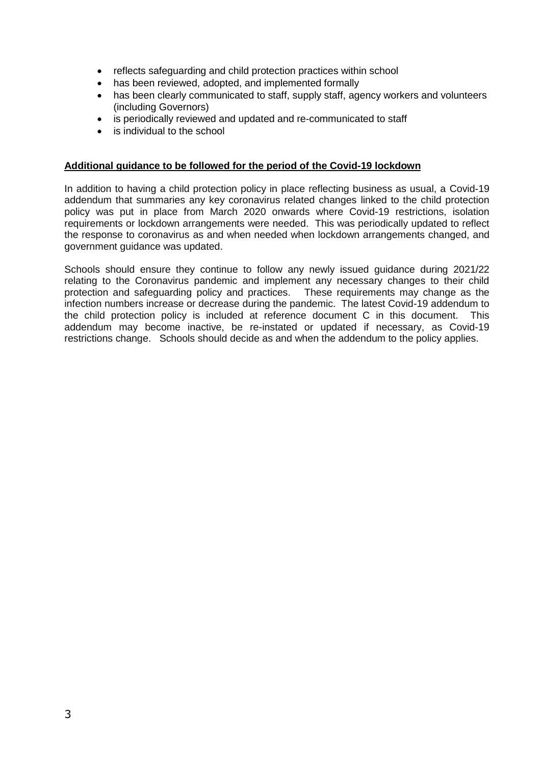- reflects safeguarding and child protection practices within school
- has been reviewed, adopted, and implemented formally
- has been clearly communicated to staff, supply staff, agency workers and volunteers (including Governors)
- is periodically reviewed and updated and re-communicated to staff
- is individual to the school

#### **Additional guidance to be followed for the period of the Covid-19 lockdown**

In addition to having a child protection policy in place reflecting business as usual, a Covid-19 addendum that summaries any key coronavirus related changes linked to the child protection policy was put in place from March 2020 onwards where Covid-19 restrictions, isolation requirements or lockdown arrangements were needed. This was periodically updated to reflect the response to coronavirus as and when needed when lockdown arrangements changed, and government guidance was updated.

Schools should ensure they continue to follow any newly issued guidance during 2021/22 relating to the Coronavirus pandemic and implement any necessary changes to their child protection and safeguarding policy and practices. These requirements may change as the infection numbers increase or decrease during the pandemic. The latest Covid-19 addendum to the child protection policy is included at reference document C in this document. This addendum may become inactive, be re-instated or updated if necessary, as Covid-19 restrictions change. Schools should decide as and when the addendum to the policy applies.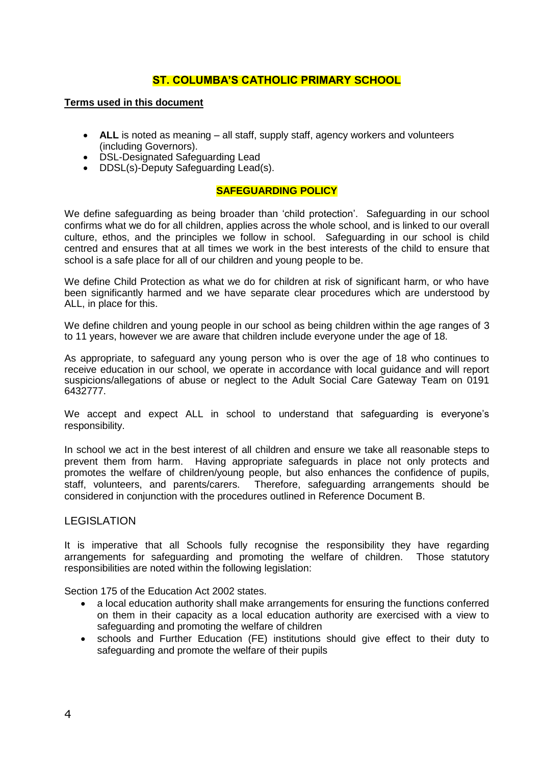# **ST. COLUMBA'S CATHOLIC PRIMARY SCHOOL**

#### **Terms used in this document**

- **ALL** is noted as meaning all staff, supply staff, agency workers and volunteers (including Governors).
- DSL-Designated Safeguarding Lead
- DDSL(s)-Deputy Safeguarding Lead(s).

#### **SAFEGUARDING POLICY**

We define safeguarding as being broader than 'child protection'. Safeguarding in our school confirms what we do for all children, applies across the whole school, and is linked to our overall culture, ethos, and the principles we follow in school. Safeguarding in our school is child centred and ensures that at all times we work in the best interests of the child to ensure that school is a safe place for all of our children and young people to be.

We define Child Protection as what we do for children at risk of significant harm, or who have been significantly harmed and we have separate clear procedures which are understood by ALL, in place for this.

We define children and young people in our school as being children within the age ranges of 3 to 11 years, however we are aware that children include everyone under the age of 18.

As appropriate, to safeguard any young person who is over the age of 18 who continues to receive education in our school, we operate in accordance with local guidance and will report suspicions/allegations of abuse or neglect to the Adult Social Care Gateway Team on 0191 6432777.

We accept and expect ALL in school to understand that safeguarding is everyone's responsibility.

In school we act in the best interest of all children and ensure we take all reasonable steps to prevent them from harm. Having appropriate safeguards in place not only protects and promotes the welfare of children/young people, but also enhances the confidence of pupils, staff, volunteers, and parents/carers. Therefore, safeguarding arrangements should be considered in conjunction with the procedures outlined in Reference Document B.

#### LEGISLATION

It is imperative that all Schools fully recognise the responsibility they have regarding arrangements for safeguarding and promoting the welfare of children. Those statutory responsibilities are noted within the following legislation:

Section 175 of the Education Act 2002 states.

- a local education authority shall make arrangements for ensuring the functions conferred on them in their capacity as a local education authority are exercised with a view to safeguarding and promoting the welfare of children
- schools and Further Education (FE) institutions should give effect to their duty to safeguarding and promote the welfare of their pupils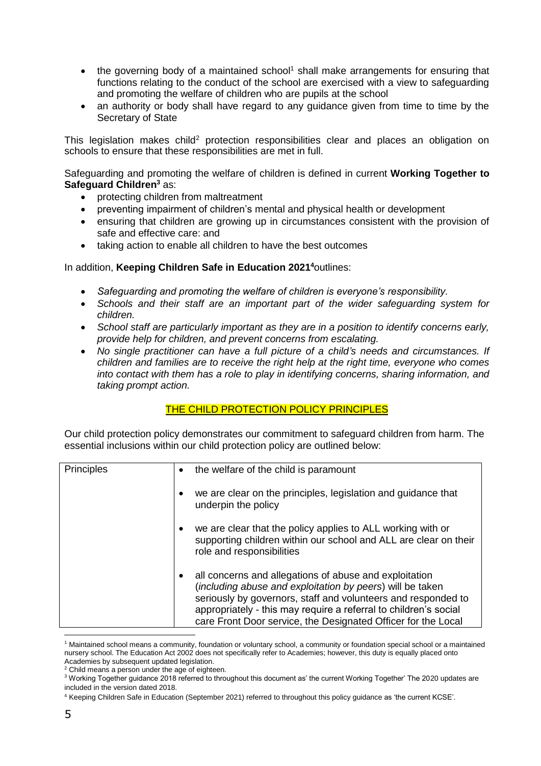- the governing body of a maintained school<sup>1</sup> shall make arrangements for ensuring that functions relating to the conduct of the school are exercised with a view to safeguarding and promoting the welfare of children who are pupils at the school
- an authority or body shall have regard to any guidance given from time to time by the Secretary of State

This legislation makes child<sup>2</sup> protection responsibilities clear and places an obligation on schools to ensure that these responsibilities are met in full.

Safeguarding and promoting the welfare of children is defined in current **Working Together to Safeguard Children<sup>3</sup>** as:

- protecting children from maltreatment
- preventing impairment of children's mental and physical health or development
- ensuring that children are growing up in circumstances consistent with the provision of safe and effective care: and
- taking action to enable all children to have the best outcomes

#### In addition, **Keeping Children Safe in Education 2021 <sup>4</sup>**outlines:

- *Safeguarding and promoting the welfare of children is everyone's responsibility.*
- *Schools and their staff are an important part of the wider safeguarding system for children.*
- *School staff are particularly important as they are in a position to identify concerns early, provide help for children, and prevent concerns from escalating.*
- *No single practitioner can have a full picture of a child's needs and circumstances. If children and families are to receive the right help at the right time, everyone who comes into contact with them has a role to play in identifying concerns, sharing information, and taking prompt action.*

#### THE CHILD PROTECTION POLICY PRINCIPLES

Our child protection policy demonstrates our commitment to safeguard children from harm. The essential inclusions within our child protection policy are outlined below:

| Principles | the welfare of the child is paramount                                                                                                                                                                                                                                                                                     |
|------------|---------------------------------------------------------------------------------------------------------------------------------------------------------------------------------------------------------------------------------------------------------------------------------------------------------------------------|
|            | we are clear on the principles, legislation and guidance that<br>underpin the policy                                                                                                                                                                                                                                      |
|            | we are clear that the policy applies to ALL working with or<br>supporting children within our school and ALL are clear on their<br>role and responsibilities                                                                                                                                                              |
|            | all concerns and allegations of abuse and exploitation<br>(including abuse and exploitation by peers) will be taken<br>seriously by governors, staff and volunteers and responded to<br>appropriately - this may require a referral to children's social<br>care Front Door service, the Designated Officer for the Local |

<sup>1</sup> Maintained school means a community, foundation or voluntary school, a community or foundation special school or a maintained nursery school. The Education Act 2002 does not specifically refer to Academies; however, this duty is equally placed onto Academies by subsequent updated legislation.

<sup>&</sup>lt;sup>2</sup> Child means a person under the age of eighteen.

<sup>3</sup> Working Together guidance 2018 referred to throughout this document as' the current Working Together' The 2020 updates are included in the version dated 2018.

<sup>4</sup> Keeping Children Safe in Education (September 2021) referred to throughout this policy guidance as 'the current KCSE'.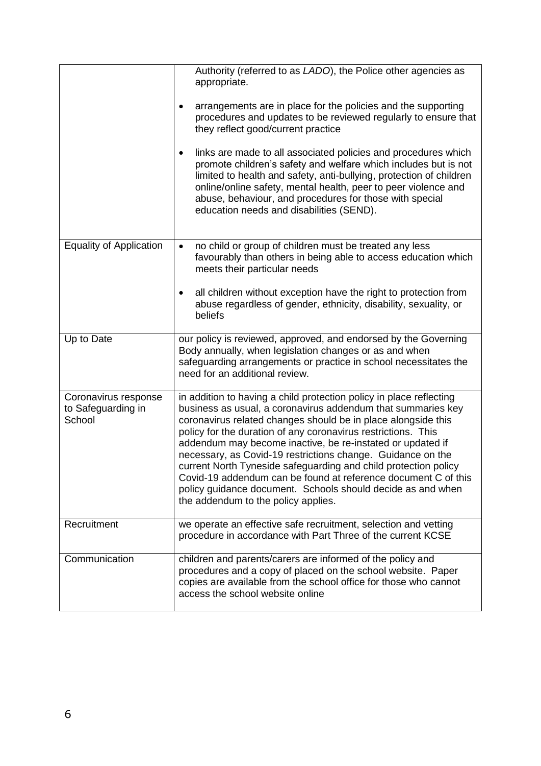|                                                      | Authority (referred to as LADO), the Police other agencies as<br>appropriate.                                                                                                                                                                                                                                                                                                                                                                                                                                                                                                                                                                 |
|------------------------------------------------------|-----------------------------------------------------------------------------------------------------------------------------------------------------------------------------------------------------------------------------------------------------------------------------------------------------------------------------------------------------------------------------------------------------------------------------------------------------------------------------------------------------------------------------------------------------------------------------------------------------------------------------------------------|
|                                                      | arrangements are in place for the policies and the supporting<br>procedures and updates to be reviewed regularly to ensure that<br>they reflect good/current practice                                                                                                                                                                                                                                                                                                                                                                                                                                                                         |
|                                                      | links are made to all associated policies and procedures which<br>$\bullet$<br>promote children's safety and welfare which includes but is not<br>limited to health and safety, anti-bullying, protection of children<br>online/online safety, mental health, peer to peer violence and<br>abuse, behaviour, and procedures for those with special<br>education needs and disabilities (SEND).                                                                                                                                                                                                                                                |
| <b>Equality of Application</b>                       | no child or group of children must be treated any less<br>$\bullet$<br>favourably than others in being able to access education which<br>meets their particular needs                                                                                                                                                                                                                                                                                                                                                                                                                                                                         |
|                                                      | all children without exception have the right to protection from<br>$\bullet$<br>abuse regardless of gender, ethnicity, disability, sexuality, or<br>beliefs                                                                                                                                                                                                                                                                                                                                                                                                                                                                                  |
| Up to Date                                           | our policy is reviewed, approved, and endorsed by the Governing<br>Body annually, when legislation changes or as and when<br>safeguarding arrangements or practice in school necessitates the<br>need for an additional review.                                                                                                                                                                                                                                                                                                                                                                                                               |
| Coronavirus response<br>to Safeguarding in<br>School | in addition to having a child protection policy in place reflecting<br>business as usual, a coronavirus addendum that summaries key<br>coronavirus related changes should be in place alongside this<br>policy for the duration of any coronavirus restrictions. This<br>addendum may become inactive, be re-instated or updated if<br>necessary, as Covid-19 restrictions change. Guidance on the<br>current North Tyneside safeguarding and child protection policy<br>Covid-19 addendum can be found at reference document C of this<br>policy guidance document. Schools should decide as and when<br>the addendum to the policy applies. |
| Recruitment                                          | we operate an effective safe recruitment, selection and vetting<br>procedure in accordance with Part Three of the current KCSE                                                                                                                                                                                                                                                                                                                                                                                                                                                                                                                |
| Communication                                        | children and parents/carers are informed of the policy and<br>procedures and a copy of placed on the school website. Paper<br>copies are available from the school office for those who cannot<br>access the school website online                                                                                                                                                                                                                                                                                                                                                                                                            |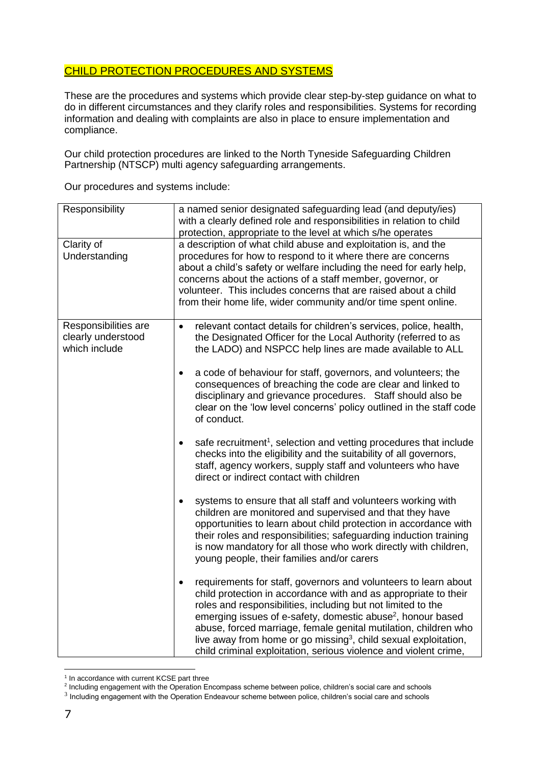# CHILD PROTECTION PROCEDURES AND SYSTEMS

These are the procedures and systems which provide clear step-by-step guidance on what to do in different circumstances and they clarify roles and responsibilities. Systems for recording information and dealing with complaints are also in place to ensure implementation and compliance.

Our child protection procedures are linked to the North Tyneside Safeguarding Children Partnership (NTSCP) multi agency safeguarding arrangements.

Our procedures and systems include:

| Responsibility                                              | a named senior designated safeguarding lead (and deputy/ies)<br>with a clearly defined role and responsibilities in relation to child<br>protection, appropriate to the level at which s/he operates                                                                                                                                                                                                                                                                                                             |
|-------------------------------------------------------------|------------------------------------------------------------------------------------------------------------------------------------------------------------------------------------------------------------------------------------------------------------------------------------------------------------------------------------------------------------------------------------------------------------------------------------------------------------------------------------------------------------------|
| Clarity of<br>Understanding                                 | a description of what child abuse and exploitation is, and the<br>procedures for how to respond to it where there are concerns<br>about a child's safety or welfare including the need for early help,<br>concerns about the actions of a staff member, governor, or<br>volunteer. This includes concerns that are raised about a child<br>from their home life, wider community and/or time spent online.                                                                                                       |
| Responsibilities are<br>clearly understood<br>which include | relevant contact details for children's services, police, health,<br>$\bullet$<br>the Designated Officer for the Local Authority (referred to as<br>the LADO) and NSPCC help lines are made available to ALL                                                                                                                                                                                                                                                                                                     |
|                                                             | a code of behaviour for staff, governors, and volunteers; the<br>consequences of breaching the code are clear and linked to<br>disciplinary and grievance procedures. Staff should also be<br>clear on the 'low level concerns' policy outlined in the staff code<br>of conduct.                                                                                                                                                                                                                                 |
|                                                             | safe recruitment <sup>1</sup> , selection and vetting procedures that include<br>$\bullet$<br>checks into the eligibility and the suitability of all governors,<br>staff, agency workers, supply staff and volunteers who have<br>direct or indirect contact with children                                                                                                                                                                                                                                       |
|                                                             | systems to ensure that all staff and volunteers working with<br>$\bullet$<br>children are monitored and supervised and that they have<br>opportunities to learn about child protection in accordance with<br>their roles and responsibilities; safeguarding induction training<br>is now mandatory for all those who work directly with children,<br>young people, their families and/or carers                                                                                                                  |
|                                                             | requirements for staff, governors and volunteers to learn about<br>$\bullet$<br>child protection in accordance with and as appropriate to their<br>roles and responsibilities, including but not limited to the<br>emerging issues of e-safety, domestic abuse <sup>2</sup> , honour based<br>abuse, forced marriage, female genital mutilation, children who<br>live away from home or go missing <sup>3</sup> , child sexual exploitation,<br>child criminal exploitation, serious violence and violent crime, |

 1 In accordance with current KCSE part three

<sup>&</sup>lt;sup>2</sup> Including engagement with the Operation Encompass scheme between police, children's social care and schools

<sup>&</sup>lt;sup>3</sup> Including engagement with the Operation Endeavour scheme between police, children's social care and schools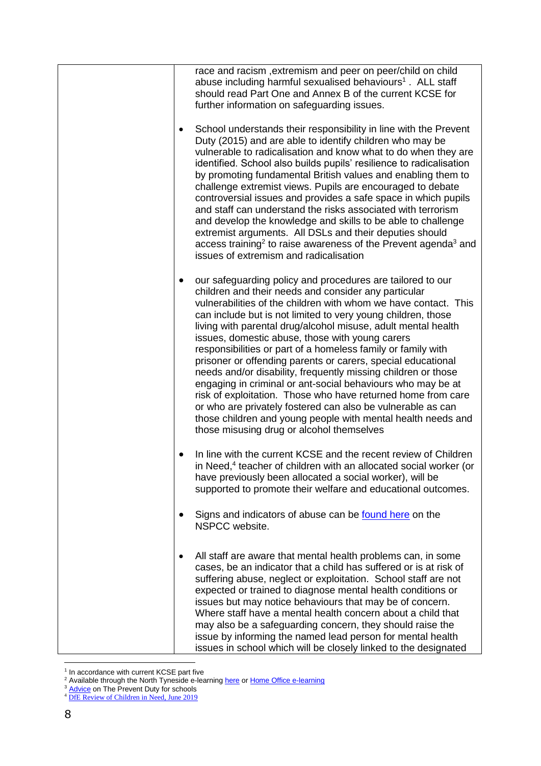|           | race and racism, extremism and peer on peer/child on child<br>abuse including harmful sexualised behaviours <sup>1</sup> . ALL staff<br>should read Part One and Annex B of the current KCSE for<br>further information on safeguarding issues.                                                                                                                                                                                                                                                                                                                                                                                                                                                                                                                                                                                                                                       |
|-----------|---------------------------------------------------------------------------------------------------------------------------------------------------------------------------------------------------------------------------------------------------------------------------------------------------------------------------------------------------------------------------------------------------------------------------------------------------------------------------------------------------------------------------------------------------------------------------------------------------------------------------------------------------------------------------------------------------------------------------------------------------------------------------------------------------------------------------------------------------------------------------------------|
| $\bullet$ | School understands their responsibility in line with the Prevent<br>Duty (2015) and are able to identify children who may be<br>vulnerable to radicalisation and know what to do when they are<br>identified. School also builds pupils' resilience to radicalisation<br>by promoting fundamental British values and enabling them to<br>challenge extremist views. Pupils are encouraged to debate<br>controversial issues and provides a safe space in which pupils<br>and staff can understand the risks associated with terrorism<br>and develop the knowledge and skills to be able to challenge<br>extremist arguments. All DSLs and their deputies should<br>access training <sup>2</sup> to raise awareness of the Prevent agenda <sup>3</sup> and<br>issues of extremism and radicalisation                                                                                  |
| $\bullet$ | our safeguarding policy and procedures are tailored to our<br>children and their needs and consider any particular<br>vulnerabilities of the children with whom we have contact. This<br>can include but is not limited to very young children, those<br>living with parental drug/alcohol misuse, adult mental health<br>issues, domestic abuse, those with young carers<br>responsibilities or part of a homeless family or family with<br>prisoner or offending parents or carers, special educational<br>needs and/or disability, frequently missing children or those<br>engaging in criminal or ant-social behaviours who may be at<br>risk of exploitation. Those who have returned home from care<br>or who are privately fostered can also be vulnerable as can<br>those children and young people with mental health needs and<br>those misusing drug or alcohol themselves |
|           | In line with the current KCSE and the recent review of Children<br>in Need, <sup>4</sup> teacher of children with an allocated social worker (or<br>have previously been allocated a social worker), will be<br>supported to promote their welfare and educational outcomes.                                                                                                                                                                                                                                                                                                                                                                                                                                                                                                                                                                                                          |
|           | Signs and indicators of abuse can be found here on the<br>NSPCC website.                                                                                                                                                                                                                                                                                                                                                                                                                                                                                                                                                                                                                                                                                                                                                                                                              |
| $\bullet$ | All staff are aware that mental health problems can, in some<br>cases, be an indicator that a child has suffered or is at risk of<br>suffering abuse, neglect or exploitation. School staff are not<br>expected or trained to diagnose mental health conditions or<br>issues but may notice behaviours that may be of concern.<br>Where staff have a mental health concern about a child that<br>may also be a safeguarding concern, they should raise the<br>issue by informing the named lead person for mental health<br>issues in school which will be closely linked to the designated                                                                                                                                                                                                                                                                                           |

 1 In accordance with current KCSE part five

<sup>&</sup>lt;sup>2</sup> Available through the North Tyneside e-learnin[g here](https://northtyneside.learningpool.com/course/view.php?id=199) o[r Home Office e-learning](https://www.elearning.prevent.homeoffice.gov.uk/)

<sup>&</sup>lt;sup>3</sup> [Advice](https://assets.publishing.service.gov.uk/government/uploads/system/uploads/attachment_data/file/439598/prevent-duty-departmental-advice-v6.pdf) on The Prevent Duty for schools

<sup>&</sup>lt;sup>4</sup> [DfE Review of Children in Need, June 2019](https://www.gov.uk/government/publications/review-of-children-in-need/review-of-children-in-need)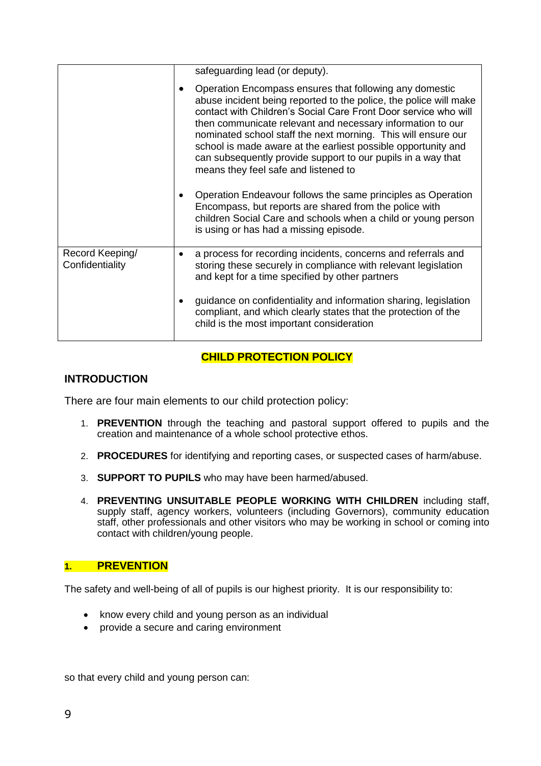|                                    |   | safeguarding lead (or deputy).                                                                                                                                                                                                                                                                                                                                                                                                                                                                          |
|------------------------------------|---|---------------------------------------------------------------------------------------------------------------------------------------------------------------------------------------------------------------------------------------------------------------------------------------------------------------------------------------------------------------------------------------------------------------------------------------------------------------------------------------------------------|
|                                    |   | Operation Encompass ensures that following any domestic<br>abuse incident being reported to the police, the police will make<br>contact with Children's Social Care Front Door service who will<br>then communicate relevant and necessary information to our<br>nominated school staff the next morning. This will ensure our<br>school is made aware at the earliest possible opportunity and<br>can subsequently provide support to our pupils in a way that<br>means they feel safe and listened to |
|                                    |   | Operation Endeavour follows the same principles as Operation<br>Encompass, but reports are shared from the police with<br>children Social Care and schools when a child or young person<br>is using or has had a missing episode.                                                                                                                                                                                                                                                                       |
| Record Keeping/<br>Confidentiality | ٠ | a process for recording incidents, concerns and referrals and<br>storing these securely in compliance with relevant legislation<br>and kept for a time specified by other partners                                                                                                                                                                                                                                                                                                                      |
|                                    |   | guidance on confidentiality and information sharing, legislation<br>compliant, and which clearly states that the protection of the<br>child is the most important consideration                                                                                                                                                                                                                                                                                                                         |

# **CHILD PROTECTION POLICY**

# **INTRODUCTION**

There are four main elements to our child protection policy:

- 1. **PREVENTION** through the teaching and pastoral support offered to pupils and the creation and maintenance of a whole school protective ethos.
- 2. **PROCEDURES** for identifying and reporting cases, or suspected cases of harm/abuse.
- 3. **SUPPORT TO PUPILS** who may have been harmed/abused.
- 4. **PREVENTING UNSUITABLE PEOPLE WORKING WITH CHILDREN** including staff, supply staff, agency workers, volunteers (including Governors), community education staff, other professionals and other visitors who may be working in school or coming into contact with children/young people.

# **1. PREVENTION**

The safety and well-being of all of pupils is our highest priority. It is our responsibility to:

- know every child and young person as an individual
- provide a secure and caring environment

so that every child and young person can: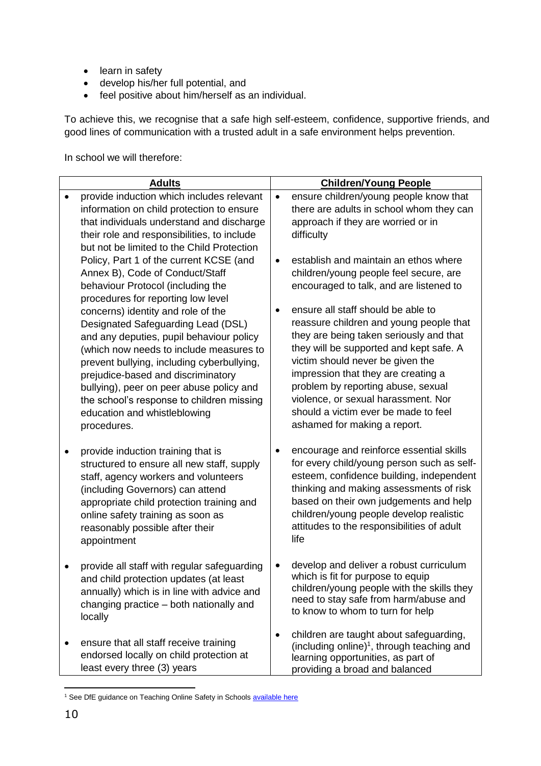- learn in safety
- develop his/her full potential, and
- feel positive about him/herself as an individual.

To achieve this, we recognise that a safe high self-esteem, confidence, supportive friends, and good lines of communication with a trusted adult in a safe environment helps prevention.

In school we will therefore:

| provide induction which includes relevant<br>ensure children/young people know that<br>$\bullet$<br>$\bullet$<br>information on child protection to ensure<br>there are adults in school whom they can |  |
|--------------------------------------------------------------------------------------------------------------------------------------------------------------------------------------------------------|--|
|                                                                                                                                                                                                        |  |
| that individuals understand and discharge<br>approach if they are worried or in                                                                                                                        |  |
| their role and responsibilities, to include<br>difficulty                                                                                                                                              |  |
| but not be limited to the Child Protection                                                                                                                                                             |  |
| Policy, Part 1 of the current KCSE (and<br>establish and maintain an ethos where<br>children/young people feel secure, are                                                                             |  |
| Annex B), Code of Conduct/Staff<br>behaviour Protocol (including the<br>encouraged to talk, and are listened to                                                                                        |  |
| procedures for reporting low level                                                                                                                                                                     |  |
| ensure all staff should be able to<br>concerns) identity and role of the                                                                                                                               |  |
| reassure children and young people that<br>Designated Safeguarding Lead (DSL)                                                                                                                          |  |
| they are being taken seriously and that<br>and any deputies, pupil behaviour policy<br>they will be supported and kept safe. A<br>(which now needs to include measures to                              |  |
| victim should never be given the<br>prevent bullying, including cyberbullying,                                                                                                                         |  |
| impression that they are creating a<br>prejudice-based and discriminatory                                                                                                                              |  |
| problem by reporting abuse, sexual<br>bullying), peer on peer abuse policy and                                                                                                                         |  |
| violence, or sexual harassment. Nor<br>the school's response to children missing<br>should a victim ever be made to feel<br>education and whistleblowing                                               |  |
| ashamed for making a report.<br>procedures.                                                                                                                                                            |  |
|                                                                                                                                                                                                        |  |
| encourage and reinforce essential skills<br>provide induction training that is<br>for every child/young person such as self-<br>structured to ensure all new staff, supply                             |  |
| esteem, confidence building, independent<br>staff, agency workers and volunteers                                                                                                                       |  |
| thinking and making assessments of risk<br>(including Governors) can attend                                                                                                                            |  |
| based on their own judgements and help<br>appropriate child protection training and                                                                                                                    |  |
| children/young people develop realistic<br>online safety training as soon as<br>attitudes to the responsibilities of adult<br>reasonably possible after their                                          |  |
| life<br>appointment                                                                                                                                                                                    |  |
|                                                                                                                                                                                                        |  |
| develop and deliver a robust curriculum<br>provide all staff with regular safeguarding<br>٠                                                                                                            |  |
| which is fit for purpose to equip<br>and child protection updates (at least<br>children/young people with the skills they<br>annually) which is in line with advice and                                |  |
| need to stay safe from harm/abuse and<br>changing practice - both nationally and                                                                                                                       |  |
| to know to whom to turn for help<br>locally                                                                                                                                                            |  |
| children are taught about safeguarding,<br>$\bullet$                                                                                                                                                   |  |
| ensure that all staff receive training<br>(including online) <sup>1</sup> , through teaching and<br>endorsed locally on child protection at                                                            |  |
| learning opportunities, as part of<br>least every three (3) years<br>providing a broad and balanced                                                                                                    |  |

 $\overline{a}$ <sup>1</sup> See DfE guidance on Teaching Online Safety in School[s available here](https://www.gov.uk/government/publications/teaching-online-safety-in-schools)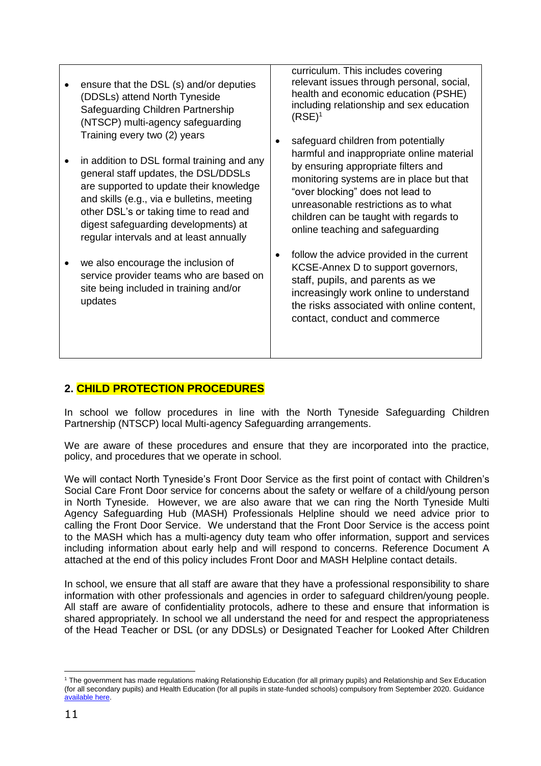ensure that the DSL (s) and/or deputies (DDSLs) attend North Tyneside Safeguarding Children Partnership (NTSCP) multi-agency safeguarding Training every two (2) years • in addition to DSL formal training and any general staff updates, the DSL/DDSLs are supported to update their knowledge and skills (e.g., via e bulletins, meeting other DSL's or taking time to read and digest safeguarding developments) at regular intervals and at least annually we also encourage the inclusion of service provider teams who are based on site being included in training and/or updates curriculum. This includes covering relevant issues through personal, social, health and economic education (PSHE) including relationship and sex education  $(RSE)^1$ • safeguard children from potentially harmful and inappropriate online material by ensuring appropriate filters and monitoring systems are in place but that "over blocking" does not lead to unreasonable restrictions as to what children can be taught with regards to online teaching and safeguarding • follow the advice provided in the current KCSE-Annex D to support governors, staff, pupils, and parents as we increasingly work online to understand the risks associated with online content, contact, conduct and commerce

# **2. CHILD PROTECTION PROCEDURES**

In school we follow procedures in line with the North Tyneside Safeguarding Children Partnership (NTSCP) local Multi-agency Safeguarding arrangements.

We are aware of these procedures and ensure that they are incorporated into the practice, policy, and procedures that we operate in school.

We will contact North Tyneside's Front Door Service as the first point of contact with Children's Social Care Front Door service for concerns about the safety or welfare of a child/young person in North Tyneside. However, we are also aware that we can ring the North Tyneside Multi Agency Safeguarding Hub (MASH) Professionals Helpline should we need advice prior to calling the Front Door Service. We understand that the Front Door Service is the access point to the MASH which has a multi-agency duty team who offer information, support and services including information about early help and will respond to concerns. Reference Document A attached at the end of this policy includes Front Door and MASH Helpline contact details.

In school, we ensure that all staff are aware that they have a professional responsibility to share information with other professionals and agencies in order to safeguard children/young people. All staff are aware of confidentiality protocols, adhere to these and ensure that information is shared appropriately. In school we all understand the need for and respect the appropriateness of the Head Teacher or DSL (or any DDSLs) or Designated Teacher for Looked After Children

<sup>1</sup> The government has made regulations making Relationship Education (for all primary pupils) and Relationship and Sex Education (for all secondary pupils) and Health Education (for all pupils in state-funded schools) compulsory from September 2020. Guidance [available here.](https://www.gov.uk/government/publications/relationships-education-relationships-and-sex-education-rse-and-health-education/implementation-of-relationships-education-relationships-and-sex-education-and-health-education-2020-to-2021)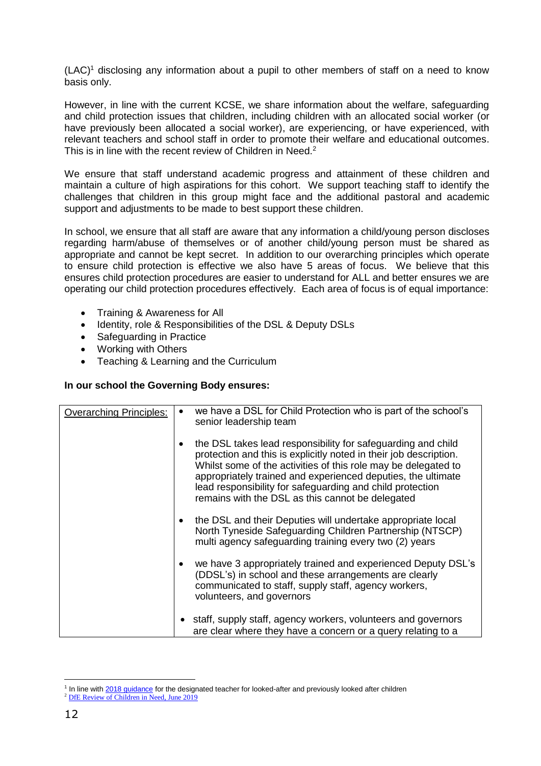$(LAC)^1$  disclosing any information about a pupil to other members of staff on a need to know basis only.

However, in line with the current KCSE, we share information about the welfare, safeguarding and child protection issues that children, including children with an allocated social worker (or have previously been allocated a social worker), are experiencing, or have experienced, with relevant teachers and school staff in order to promote their welfare and educational outcomes. This is in line with the recent review of Children in Need.<sup>2</sup>

We ensure that staff understand academic progress and attainment of these children and maintain a culture of high aspirations for this cohort. We support teaching staff to identify the challenges that children in this group might face and the additional pastoral and academic support and adjustments to be made to best support these children.

In school, we ensure that all staff are aware that any information a child/young person discloses regarding harm/abuse of themselves or of another child/young person must be shared as appropriate and cannot be kept secret. In addition to our overarching principles which operate to ensure child protection is effective we also have 5 areas of focus. We believe that this ensures child protection procedures are easier to understand for ALL and better ensures we are operating our child protection procedures effectively. Each area of focus is of equal importance:

- Training & Awareness for All
- Identity, role & Responsibilities of the DSL & Deputy DSLs
- Safeguarding in Practice
- Working with Others
- Teaching & Learning and the Curriculum

#### **In our school the Governing Body ensures:**

| <b>Overarching Principles:</b> |           | we have a DSL for Child Protection who is part of the school's<br>senior leadership team                                                                                                                                                                                                                                                                                             |
|--------------------------------|-----------|--------------------------------------------------------------------------------------------------------------------------------------------------------------------------------------------------------------------------------------------------------------------------------------------------------------------------------------------------------------------------------------|
|                                | ٠         | the DSL takes lead responsibility for safeguarding and child<br>protection and this is explicitly noted in their job description.<br>Whilst some of the activities of this role may be delegated to<br>appropriately trained and experienced deputies, the ultimate<br>lead responsibility for safeguarding and child protection<br>remains with the DSL as this cannot be delegated |
|                                | $\bullet$ | the DSL and their Deputies will undertake appropriate local<br>North Tyneside Safeguarding Children Partnership (NTSCP)<br>multi agency safeguarding training every two (2) years                                                                                                                                                                                                    |
|                                |           | we have 3 appropriately trained and experienced Deputy DSL's<br>(DDSL's) in school and these arrangements are clearly<br>communicated to staff, supply staff, agency workers,<br>volunteers, and governors                                                                                                                                                                           |
|                                |           | staff, supply staff, agency workers, volunteers and governors<br>are clear where they have a concern or a query relating to a                                                                                                                                                                                                                                                        |

<sup>&</sup>lt;sup>1</sup> In line with [2018 guidance](https://www.gov.uk/government/publications/designated-teacher-for-looked-after-children) for the designated teacher for looked-after and previously looked after children

<sup>&</sup>lt;sup>2</sup> [DfE Review of Children in Need, June 2019](https://www.gov.uk/government/publications/review-of-children-in-need/review-of-children-in-need)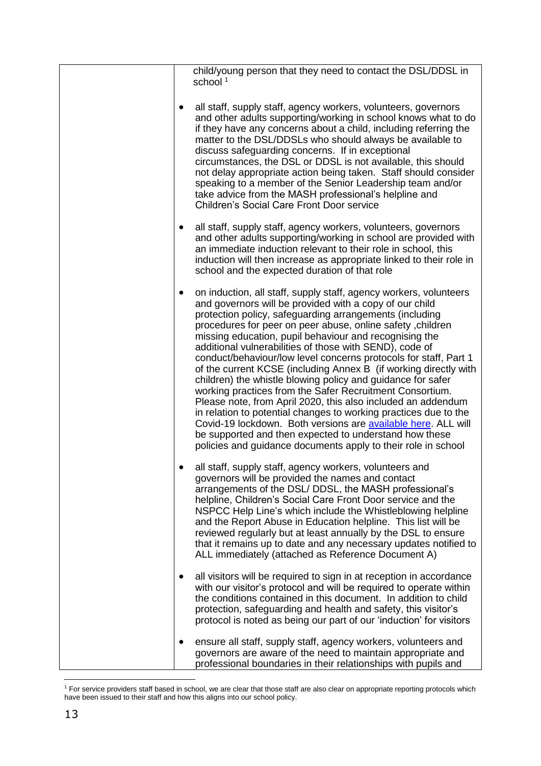|  | child/young person that they need to contact the DSL/DDSL in<br>school <sup>1</sup>                                                                                                                                                                                                                                                                                                                                                                                                                                                                                                                                                                                                                                                                                                                                                                                                                                                                                           |
|--|-------------------------------------------------------------------------------------------------------------------------------------------------------------------------------------------------------------------------------------------------------------------------------------------------------------------------------------------------------------------------------------------------------------------------------------------------------------------------------------------------------------------------------------------------------------------------------------------------------------------------------------------------------------------------------------------------------------------------------------------------------------------------------------------------------------------------------------------------------------------------------------------------------------------------------------------------------------------------------|
|  | all staff, supply staff, agency workers, volunteers, governors<br>and other adults supporting/working in school knows what to do<br>if they have any concerns about a child, including referring the<br>matter to the DSL/DDSLs who should always be available to<br>discuss safeguarding concerns. If in exceptional<br>circumstances, the DSL or DDSL is not available, this should<br>not delay appropriate action being taken. Staff should consider<br>speaking to a member of the Senior Leadership team and/or<br>take advice from the MASH professional's helpline and<br><b>Children's Social Care Front Door service</b>                                                                                                                                                                                                                                                                                                                                            |
|  | all staff, supply staff, agency workers, volunteers, governors<br>and other adults supporting/working in school are provided with<br>an immediate induction relevant to their role in school, this<br>induction will then increase as appropriate linked to their role in<br>school and the expected duration of that role                                                                                                                                                                                                                                                                                                                                                                                                                                                                                                                                                                                                                                                    |
|  | on induction, all staff, supply staff, agency workers, volunteers<br>and governors will be provided with a copy of our child<br>protection policy, safeguarding arrangements (including<br>procedures for peer on peer abuse, online safety, children<br>missing education, pupil behaviour and recognising the<br>additional vulnerabilities of those with SEND), code of<br>conduct/behaviour/low level concerns protocols for staff, Part 1<br>of the current KCSE (including Annex B (if working directly with<br>children) the whistle blowing policy and guidance for safer<br>working practices from the Safer Recruitment Consortium.<br>Please note, from April 2020, this also included an addendum<br>in relation to potential changes to working practices due to the<br>Covid-19 lockdown. Both versions are available here. ALL will<br>be supported and then expected to understand how these<br>policies and guidance documents apply to their role in school |
|  | all staff, supply staff, agency workers, volunteers and<br>governors will be provided the names and contact<br>arrangements of the DSL/ DDSL, the MASH professional's<br>helpline, Children's Social Care Front Door service and the<br>NSPCC Help Line's which include the Whistleblowing helpline<br>and the Report Abuse in Education helpline. This list will be<br>reviewed regularly but at least annually by the DSL to ensure<br>that it remains up to date and any necessary updates notified to<br>ALL immediately (attached as Reference Document A)                                                                                                                                                                                                                                                                                                                                                                                                               |
|  | all visitors will be required to sign in at reception in accordance<br>with our visitor's protocol and will be required to operate within<br>the conditions contained in this document. In addition to child<br>protection, safeguarding and health and safety, this visitor's<br>protocol is noted as being our part of our 'induction' for visitors                                                                                                                                                                                                                                                                                                                                                                                                                                                                                                                                                                                                                         |
|  | ensure all staff, supply staff, agency workers, volunteers and<br>governors are aware of the need to maintain appropriate and<br>professional boundaries in their relationships with pupils and                                                                                                                                                                                                                                                                                                                                                                                                                                                                                                                                                                                                                                                                                                                                                                               |

 $\overline{a}$ <sup>1</sup> For service providers staff based in school, we are clear that those staff are also clear on appropriate reporting protocols which have been issued to their staff and how this aligns into our school policy.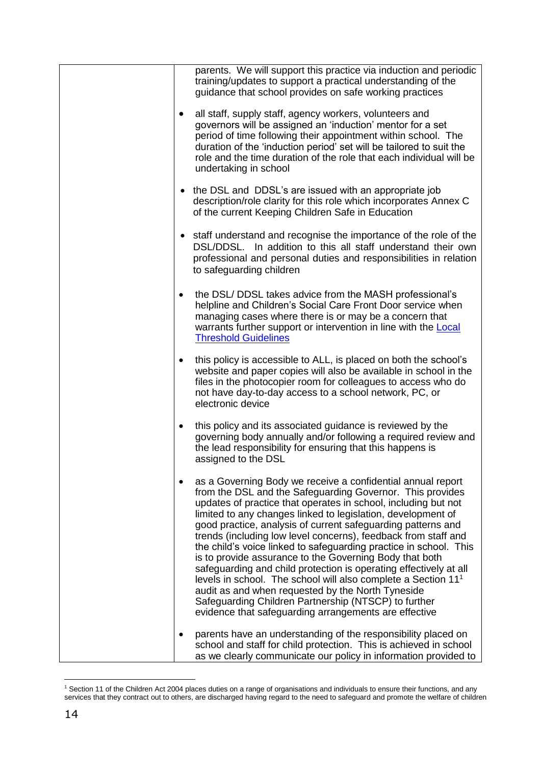| parents. We will support this practice via induction and periodic<br>training/updates to support a practical understanding of the<br>guidance that school provides on safe working practices                                                                                                                                                                                                                                                                                                                                                                                                                                                                                                                                                                                                                                                         |
|------------------------------------------------------------------------------------------------------------------------------------------------------------------------------------------------------------------------------------------------------------------------------------------------------------------------------------------------------------------------------------------------------------------------------------------------------------------------------------------------------------------------------------------------------------------------------------------------------------------------------------------------------------------------------------------------------------------------------------------------------------------------------------------------------------------------------------------------------|
| all staff, supply staff, agency workers, volunteers and<br>$\bullet$<br>governors will be assigned an 'induction' mentor for a set<br>period of time following their appointment within school. The<br>duration of the 'induction period' set will be tailored to suit the<br>role and the time duration of the role that each individual will be<br>undertaking in school                                                                                                                                                                                                                                                                                                                                                                                                                                                                           |
| the DSL and DDSL's are issued with an appropriate job<br>$\bullet$<br>description/role clarity for this role which incorporates Annex C<br>of the current Keeping Children Safe in Education                                                                                                                                                                                                                                                                                                                                                                                                                                                                                                                                                                                                                                                         |
| • staff understand and recognise the importance of the role of the<br>DSL/DDSL. In addition to this all staff understand their own<br>professional and personal duties and responsibilities in relation<br>to safeguarding children                                                                                                                                                                                                                                                                                                                                                                                                                                                                                                                                                                                                                  |
| the DSL/DDSL takes advice from the MASH professional's<br>$\bullet$<br>helpline and Children's Social Care Front Door service when<br>managing cases where there is or may be a concern that<br>warrants further support or intervention in line with the Local<br><b>Threshold Guidelines</b>                                                                                                                                                                                                                                                                                                                                                                                                                                                                                                                                                       |
| this policy is accessible to ALL, is placed on both the school's<br>$\bullet$<br>website and paper copies will also be available in school in the<br>files in the photocopier room for colleagues to access who do<br>not have day-to-day access to a school network, PC, or<br>electronic device                                                                                                                                                                                                                                                                                                                                                                                                                                                                                                                                                    |
| this policy and its associated guidance is reviewed by the<br>$\bullet$<br>governing body annually and/or following a required review and<br>the lead responsibility for ensuring that this happens is<br>assigned to the DSL                                                                                                                                                                                                                                                                                                                                                                                                                                                                                                                                                                                                                        |
| as a Governing Body we receive a confidential annual report<br>from the DSL and the Safeguarding Governor. This provides<br>updates of practice that operates in school, including but not<br>limited to any changes linked to legislation, development of<br>good practice, analysis of current safeguarding patterns and<br>trends (including low level concerns), feedback from staff and<br>the child's voice linked to safeguarding practice in school. This<br>is to provide assurance to the Governing Body that both<br>safeguarding and child protection is operating effectively at all<br>levels in school. The school will also complete a Section 11 <sup>1</sup><br>audit as and when requested by the North Tyneside<br>Safeguarding Children Partnership (NTSCP) to further<br>evidence that safeguarding arrangements are effective |
| parents have an understanding of the responsibility placed on<br>school and staff for child protection. This is achieved in school<br>as we clearly communicate our policy in information provided to                                                                                                                                                                                                                                                                                                                                                                                                                                                                                                                                                                                                                                                |

<sup>&</sup>lt;sup>1</sup> Section 11 of the Children Act 2004 places duties on a range of organisations and individuals to ensure their functions, and any services that they contract out to others, are discharged having regard to the need to safeguard and promote the welfare of children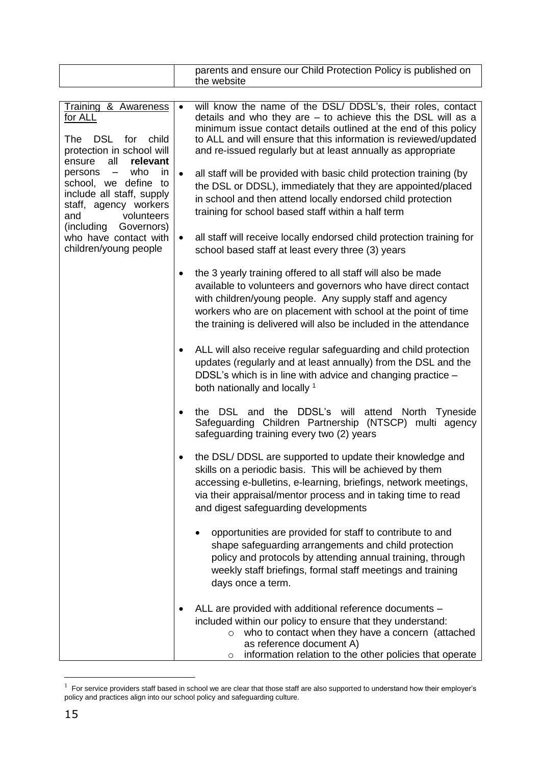|                                                                                                                                                                                                                                                              |           | parents and ensure our Child Protection Policy is published on<br>the website                                                                                                                                                                                                                                                                                        |
|--------------------------------------------------------------------------------------------------------------------------------------------------------------------------------------------------------------------------------------------------------------|-----------|----------------------------------------------------------------------------------------------------------------------------------------------------------------------------------------------------------------------------------------------------------------------------------------------------------------------------------------------------------------------|
|                                                                                                                                                                                                                                                              |           |                                                                                                                                                                                                                                                                                                                                                                      |
| <b>Training &amp; Awareness</b><br>for ALL<br>DSL for<br>The<br>child<br>protection in school will<br>all<br>relevant<br>ensure<br>persons -<br>who<br>in<br>school, we define to<br>include all staff, supply<br>staff, agency workers<br>volunteers<br>and | $\bullet$ | will know the name of the DSL/ DDSL's, their roles, contact<br>details and who they are $-$ to achieve this the DSL will as a<br>minimum issue contact details outlined at the end of this policy<br>to ALL and will ensure that this information is reviewed/updated<br>and re-issued regularly but at least annually as appropriate                                |
|                                                                                                                                                                                                                                                              | $\bullet$ | all staff will be provided with basic child protection training (by<br>the DSL or DDSL), immediately that they are appointed/placed<br>in school and then attend locally endorsed child protection<br>training for school based staff within a half term                                                                                                             |
| (including Governors)<br>who have contact with<br>children/young people                                                                                                                                                                                      | $\bullet$ | all staff will receive locally endorsed child protection training for<br>school based staff at least every three (3) years                                                                                                                                                                                                                                           |
|                                                                                                                                                                                                                                                              | $\bullet$ | the 3 yearly training offered to all staff will also be made<br>available to volunteers and governors who have direct contact<br>with children/young people. Any supply staff and agency<br>workers who are on placement with school at the point of time<br>the training is delivered will also be included in the attendance                                       |
|                                                                                                                                                                                                                                                              | ٠         | ALL will also receive regular safeguarding and child protection<br>updates (regularly and at least annually) from the DSL and the<br>DDSL's which is in line with advice and changing practice -<br>both nationally and locally 1                                                                                                                                    |
|                                                                                                                                                                                                                                                              | $\bullet$ | the DSL and the DDSL's will attend North Tyneside<br>Safeguarding Children Partnership (NTSCP) multi agency<br>safeguarding training every two (2) years                                                                                                                                                                                                             |
|                                                                                                                                                                                                                                                              |           | the DSL/ DDSL are supported to update their knowledge and<br>skills on a periodic basis. This will be achieved by them<br>accessing e-bulletins, e-learning, briefings, network meetings,<br>via their appraisal/mentor process and in taking time to read<br>and digest safeguarding developments<br>opportunities are provided for staff to contribute to and<br>٠ |
|                                                                                                                                                                                                                                                              |           | shape safeguarding arrangements and child protection<br>policy and protocols by attending annual training, through<br>weekly staff briefings, formal staff meetings and training<br>days once a term.                                                                                                                                                                |
|                                                                                                                                                                                                                                                              |           | ALL are provided with additional reference documents -<br>included within our policy to ensure that they understand:<br>who to contact when they have a concern (attached<br>O<br>as reference document A)<br>information relation to the other policies that operate<br>$\circ$                                                                                     |

 $1$  For service providers staff based in school we are clear that those staff are also supported to understand how their employer's policy and practices align into our school policy and safeguarding culture.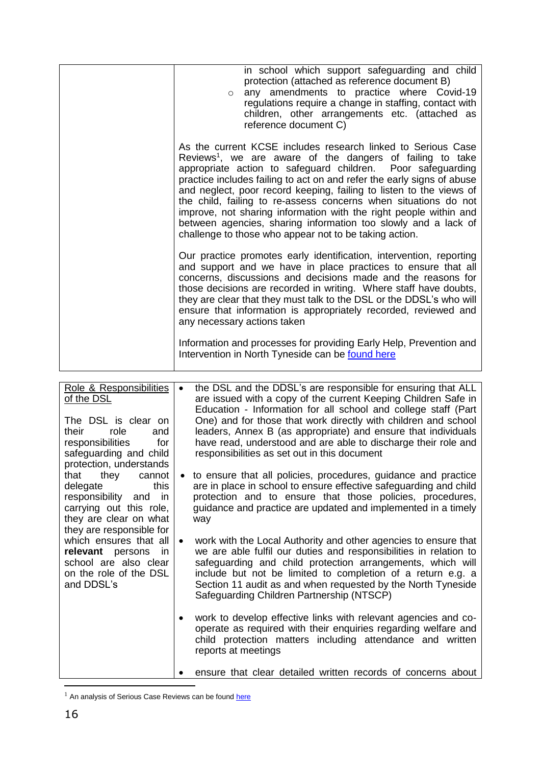|                                                                     | in school which support safeguarding and child<br>protection (attached as reference document B)<br>any amendments to practice where Covid-19<br>$\circ$<br>regulations require a change in staffing, contact with<br>children, other arrangements etc. (attached as<br>reference document C)                                                                                                                                                                                                                                                                                                                              |
|---------------------------------------------------------------------|---------------------------------------------------------------------------------------------------------------------------------------------------------------------------------------------------------------------------------------------------------------------------------------------------------------------------------------------------------------------------------------------------------------------------------------------------------------------------------------------------------------------------------------------------------------------------------------------------------------------------|
|                                                                     | As the current KCSE includes research linked to Serious Case<br>Reviews <sup>1</sup> , we are aware of the dangers of failing to take<br>appropriate action to safeguard children. Poor safeguarding<br>practice includes failing to act on and refer the early signs of abuse<br>and neglect, poor record keeping, failing to listen to the views of<br>the child, failing to re-assess concerns when situations do not<br>improve, not sharing information with the right people within and<br>between agencies, sharing information too slowly and a lack of<br>challenge to those who appear not to be taking action. |
|                                                                     | Our practice promotes early identification, intervention, reporting<br>and support and we have in place practices to ensure that all<br>concerns, discussions and decisions made and the reasons for<br>those decisions are recorded in writing. Where staff have doubts,<br>they are clear that they must talk to the DSL or the DDSL's who will<br>ensure that information is appropriately recorded, reviewed and<br>any necessary actions taken                                                                                                                                                                       |
|                                                                     | Information and processes for providing Early Help, Prevention and<br>Intervention in North Tyneside can be found here                                                                                                                                                                                                                                                                                                                                                                                                                                                                                                    |
|                                                                     |                                                                                                                                                                                                                                                                                                                                                                                                                                                                                                                                                                                                                           |
| Role & Responsibilities<br><u>of the DSL</u><br>The DSL is clear on | the DSL and the DDSL's are responsible for ensuring that ALL<br>$\bullet$<br>are issued with a copy of the current Keeping Children Safe in<br>Education - Information for all school and college staff (Part<br>One) and for those that work directly with children and school                                                                                                                                                                                                                                                                                                                                           |

| The DSL is clear on<br>their role<br>and<br>responsibilities<br>for<br>safeguarding and child<br>protection, understands                       | One) and for those that work directly with children and school<br>leaders, Annex B (as appropriate) and ensure that individuals<br>have read, understood and are able to discharge their role and<br>responsibilities as set out in this document                                                                                                                                           |
|------------------------------------------------------------------------------------------------------------------------------------------------|---------------------------------------------------------------------------------------------------------------------------------------------------------------------------------------------------------------------------------------------------------------------------------------------------------------------------------------------------------------------------------------------|
| that they cannot<br>this<br>delegate<br>responsibility and in<br>carrying out this role,<br>they are clear on what<br>they are responsible for | to ensure that all policies, procedures, guidance and practice<br>are in place in school to ensure effective safeguarding and child<br>protection and to ensure that those policies, procedures,<br>guidance and practice are updated and implemented in a timely<br>way                                                                                                                    |
| which ensures that all<br><b>relevant</b> persons in<br>school are also clear<br>on the role of the DSL<br>and DDSL's                          | work with the Local Authority and other agencies to ensure that<br>$\bullet$<br>we are able fulfil our duties and responsibilities in relation to<br>safeguarding and child protection arrangements, which will<br>include but not be limited to completion of a return e.g. a<br>Section 11 audit as and when requested by the North Tyneside<br>Safeguarding Children Partnership (NTSCP) |
|                                                                                                                                                | work to develop effective links with relevant agencies and co-<br>$\bullet$<br>operate as required with their enquiries regarding welfare and<br>child protection matters including attendance and written<br>reports at meetings                                                                                                                                                           |

**e** ensure that clear detailed written records of concerns about

<sup>&</sup>lt;sup>1</sup> An analysis of Serious Case Reviews can be found [here](https://www.gov.uk/government/publications/analysis-of-serious-case-reviews-2014-to-2017)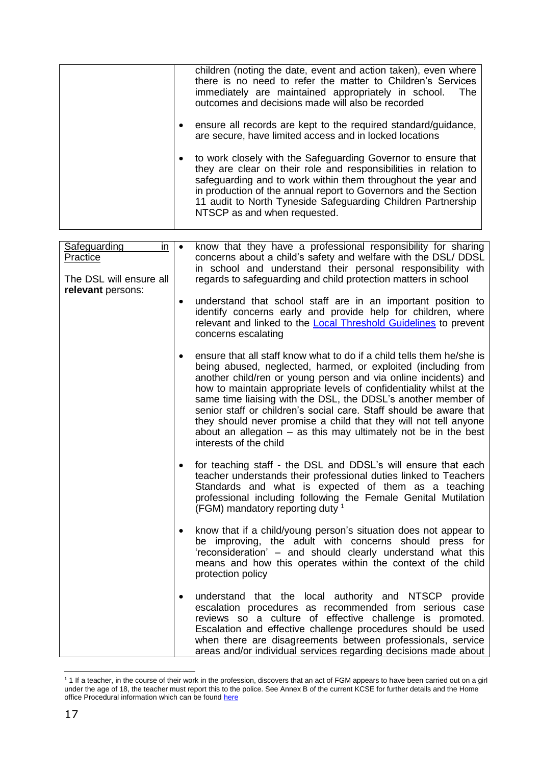|           | children (noting the date, event and action taken), even where<br>there is no need to refer the matter to Children's Services<br>immediately are maintained appropriately in school.<br>The<br>outcomes and decisions made will also be recorded                                                                                                                       |
|-----------|------------------------------------------------------------------------------------------------------------------------------------------------------------------------------------------------------------------------------------------------------------------------------------------------------------------------------------------------------------------------|
| $\bullet$ | ensure all records are kept to the required standard/guidance,<br>are secure, have limited access and in locked locations                                                                                                                                                                                                                                              |
|           | • to work closely with the Safeguarding Governor to ensure that<br>they are clear on their role and responsibilities in relation to<br>safeguarding and to work within them throughout the year and<br>in production of the annual report to Governors and the Section<br>11 audit to North Tyneside Safeguarding Children Partnership<br>NTSCP as and when requested. |

| Safeguarding<br>in<br>Practice<br>The DSL will ensure all<br>relevant persons: | $\bullet$ | know that they have a professional responsibility for sharing<br>concerns about a child's safety and welfare with the DSL/ DDSL<br>in school and understand their personal responsibility with<br>regards to safeguarding and child protection matters in school                                                                                                                                                                                                                                                                                                                           |
|--------------------------------------------------------------------------------|-----------|--------------------------------------------------------------------------------------------------------------------------------------------------------------------------------------------------------------------------------------------------------------------------------------------------------------------------------------------------------------------------------------------------------------------------------------------------------------------------------------------------------------------------------------------------------------------------------------------|
|                                                                                | $\bullet$ | understand that school staff are in an important position to<br>identify concerns early and provide help for children, where<br>relevant and linked to the <b>Local Threshold Guidelines</b> to prevent<br>concerns escalating                                                                                                                                                                                                                                                                                                                                                             |
|                                                                                |           | ensure that all staff know what to do if a child tells them he/she is<br>being abused, neglected, harmed, or exploited (including from<br>another child/ren or young person and via online incidents) and<br>how to maintain appropriate levels of confidentiality whilst at the<br>same time liaising with the DSL, the DDSL's another member of<br>senior staff or children's social care. Staff should be aware that<br>they should never promise a child that they will not tell anyone<br>about an allegation $-$ as this may ultimately not be in the best<br>interests of the child |
|                                                                                |           | for teaching staff - the DSL and DDSL's will ensure that each<br>teacher understands their professional duties linked to Teachers<br>Standards and what is expected of them as a teaching<br>professional including following the Female Genital Mutilation<br>(FGM) mandatory reporting duty <sup>1</sup>                                                                                                                                                                                                                                                                                 |
|                                                                                |           | know that if a child/young person's situation does not appear to<br>be improving, the adult with concerns should press for<br>'reconsideration' - and should clearly understand what this<br>means and how this operates within the context of the child<br>protection policy                                                                                                                                                                                                                                                                                                              |
|                                                                                |           | understand that the local authority and NTSCP provide<br>escalation procedures as recommended from serious case<br>reviews so a culture of effective challenge is promoted.<br>Escalation and effective challenge procedures should be used<br>when there are disagreements between professionals, service<br>areas and/or individual services regarding decisions made about                                                                                                                                                                                                              |

 $\overline{a}$ <sup>1</sup> 1 If a teacher, in the course of their work in the profession, discovers that an act of FGM appears to have been carried out on a girl under the age of 18, the teacher must report this to the police. See Annex B of the current KCSE for further details and the Home office Procedural information which can be found [here](https://assets.publishing.service.gov.uk/government/uploads/system/uploads/attachment_data/file/573782/FGM_Mandatory_Reporting_-_procedural_information_nov16_FINAL.pdf)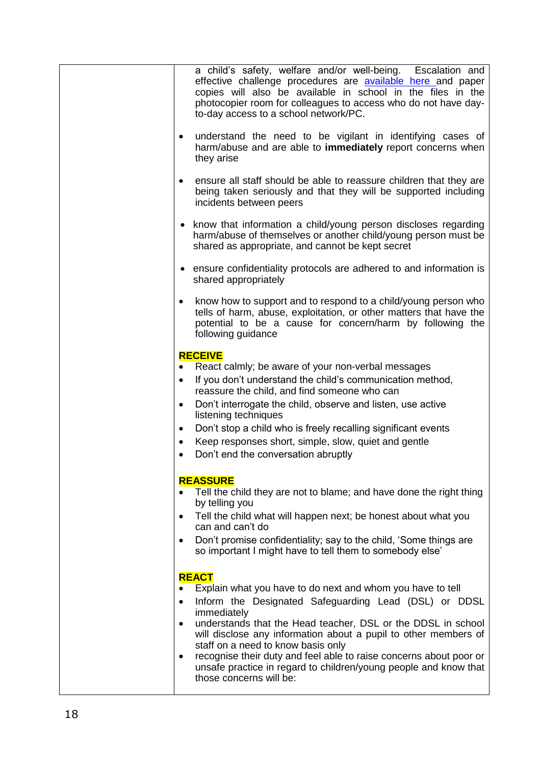|           | a child's safety, welfare and/or well-being. Escalation and<br>effective challenge procedures are <b>available here</b> and paper<br>copies will also be available in school in the files in the<br>photocopier room for colleagues to access who do not have day-<br>to-day access to a school network/PC. |
|-----------|-------------------------------------------------------------------------------------------------------------------------------------------------------------------------------------------------------------------------------------------------------------------------------------------------------------|
| ٠         | understand the need to be vigilant in identifying cases of<br>harm/abuse and are able to <b>immediately</b> report concerns when<br>they arise                                                                                                                                                              |
| $\bullet$ | ensure all staff should be able to reassure children that they are<br>being taken seriously and that they will be supported including<br>incidents between peers                                                                                                                                            |
|           | • know that information a child/young person discloses regarding<br>harm/abuse of themselves or another child/young person must be<br>shared as appropriate, and cannot be kept secret                                                                                                                      |
|           | • ensure confidentiality protocols are adhered to and information is<br>shared appropriately                                                                                                                                                                                                                |
| $\bullet$ | know how to support and to respond to a child/young person who<br>tells of harm, abuse, exploitation, or other matters that have the<br>potential to be a cause for concern/harm by following the<br>following guidance                                                                                     |
|           | <b>RECEIVE</b>                                                                                                                                                                                                                                                                                              |
| $\bullet$ | React calmly; be aware of your non-verbal messages                                                                                                                                                                                                                                                          |
| $\bullet$ | If you don't understand the child's communication method,                                                                                                                                                                                                                                                   |
|           | reassure the child, and find someone who can                                                                                                                                                                                                                                                                |
| $\bullet$ | Don't interrogate the child, observe and listen, use active<br>listening techniques                                                                                                                                                                                                                         |
| ٠         | Don't stop a child who is freely recalling significant events                                                                                                                                                                                                                                               |
| $\bullet$ | Keep responses short, simple, slow, quiet and gentle                                                                                                                                                                                                                                                        |
| $\bullet$ | Don't end the conversation abruptly                                                                                                                                                                                                                                                                         |
|           | <b>REASSURE</b>                                                                                                                                                                                                                                                                                             |
|           | Tell the child they are not to blame; and have done the right thing<br>by telling you                                                                                                                                                                                                                       |
|           | Tell the child what will happen next; be honest about what you<br>can and can't do                                                                                                                                                                                                                          |
|           | Don't promise confidentiality; say to the child, 'Some things are                                                                                                                                                                                                                                           |
|           | so important I might have to tell them to somebody else'                                                                                                                                                                                                                                                    |
|           | <b>REACT</b>                                                                                                                                                                                                                                                                                                |
| $\bullet$ | Explain what you have to do next and whom you have to tell<br>Inform the Designated Safeguarding Lead (DSL) or DDSL                                                                                                                                                                                         |
|           | immediately                                                                                                                                                                                                                                                                                                 |
| $\bullet$ | understands that the Head teacher, DSL or the DDSL in school<br>will disclose any information about a pupil to other members of                                                                                                                                                                             |
|           | staff on a need to know basis only<br>recognise their duty and feel able to raise concerns about poor or                                                                                                                                                                                                    |
| $\bullet$ | unsafe practice in regard to children/young people and know that<br>those concerns will be:                                                                                                                                                                                                                 |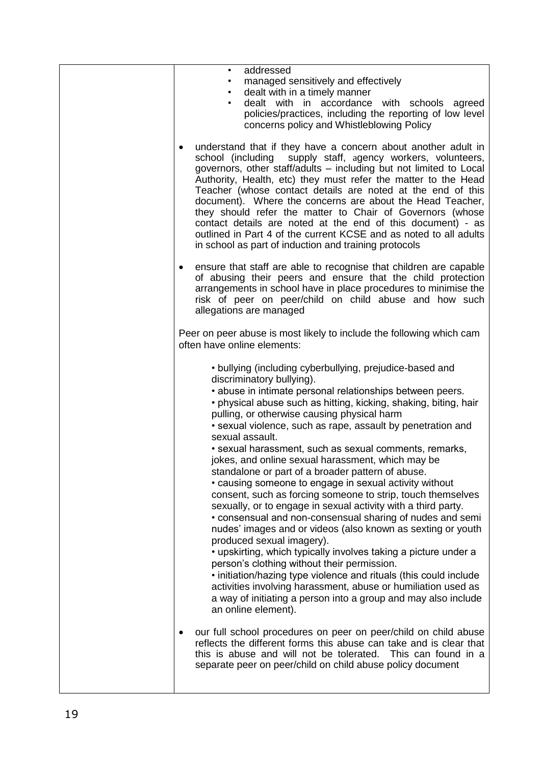| addressed<br>$\bullet$<br>managed sensitively and effectively                                                                                                                                                                                                                                                                                                                                                                                                                                                                                                                                                                                                                                                                                                                                                                                                                                                                                                                                                                                                                                                                                                                                                                   |
|---------------------------------------------------------------------------------------------------------------------------------------------------------------------------------------------------------------------------------------------------------------------------------------------------------------------------------------------------------------------------------------------------------------------------------------------------------------------------------------------------------------------------------------------------------------------------------------------------------------------------------------------------------------------------------------------------------------------------------------------------------------------------------------------------------------------------------------------------------------------------------------------------------------------------------------------------------------------------------------------------------------------------------------------------------------------------------------------------------------------------------------------------------------------------------------------------------------------------------|
| dealt with in a timely manner<br>$\bullet$<br>dealt with in accordance with schools agreed<br>$\bullet$<br>policies/practices, including the reporting of low level<br>concerns policy and Whistleblowing Policy                                                                                                                                                                                                                                                                                                                                                                                                                                                                                                                                                                                                                                                                                                                                                                                                                                                                                                                                                                                                                |
| understand that if they have a concern about another adult in<br>school (including supply staff, agency workers, volunteers,<br>governors, other staff/adults - including but not limited to Local<br>Authority, Health, etc) they must refer the matter to the Head<br>Teacher (whose contact details are noted at the end of this<br>document). Where the concerns are about the Head Teacher,<br>they should refer the matter to Chair of Governors (whose<br>contact details are noted at the end of this document) - as<br>outlined in Part 4 of the current KCSE and as noted to all adults<br>in school as part of induction and training protocols                                                                                                                                                                                                                                                                                                                                                                                                                                                                                                                                                                      |
| ensure that staff are able to recognise that children are capable<br>of abusing their peers and ensure that the child protection<br>arrangements in school have in place procedures to minimise the<br>risk of peer on peer/child on child abuse and how such<br>allegations are managed                                                                                                                                                                                                                                                                                                                                                                                                                                                                                                                                                                                                                                                                                                                                                                                                                                                                                                                                        |
| Peer on peer abuse is most likely to include the following which cam<br>often have online elements:                                                                                                                                                                                                                                                                                                                                                                                                                                                                                                                                                                                                                                                                                                                                                                                                                                                                                                                                                                                                                                                                                                                             |
| • bullying (including cyberbullying, prejudice-based and<br>discriminatory bullying).<br>• abuse in intimate personal relationships between peers.<br>• physical abuse such as hitting, kicking, shaking, biting, hair<br>pulling, or otherwise causing physical harm<br>• sexual violence, such as rape, assault by penetration and<br>sexual assault.<br>· sexual harassment, such as sexual comments, remarks,<br>jokes, and online sexual harassment, which may be<br>standalone or part of a broader pattern of abuse.<br>• causing someone to engage in sexual activity without<br>consent, such as forcing someone to strip, touch themselves<br>sexually, or to engage in sexual activity with a third party.<br>• consensual and non-consensual sharing of nudes and semi<br>nudes' images and or videos (also known as sexting or youth<br>produced sexual imagery).<br>• upskirting, which typically involves taking a picture under a<br>person's clothing without their permission.<br>. initiation/hazing type violence and rituals (this could include<br>activities involving harassment, abuse or humiliation used as<br>a way of initiating a person into a group and may also include<br>an online element). |
| our full school procedures on peer on peer/child on child abuse<br>reflects the different forms this abuse can take and is clear that<br>this is abuse and will not be tolerated. This can found in a<br>separate peer on peer/child on child abuse policy document                                                                                                                                                                                                                                                                                                                                                                                                                                                                                                                                                                                                                                                                                                                                                                                                                                                                                                                                                             |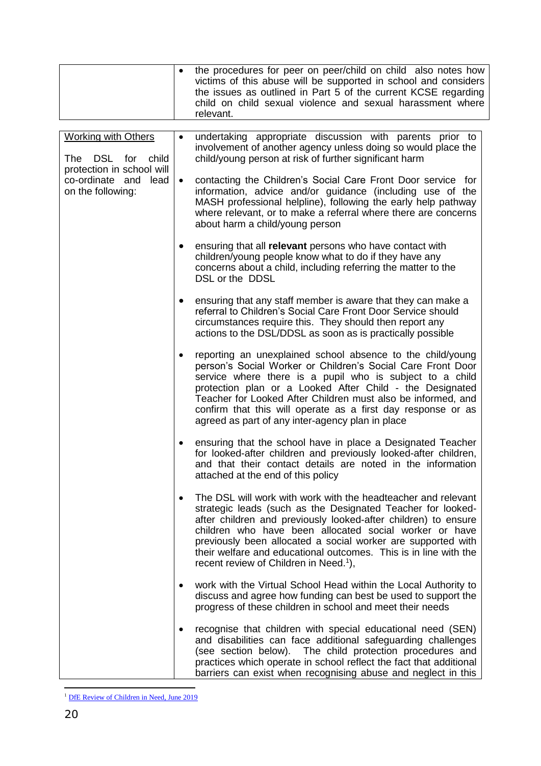|  |                                                                              |                                                                                                                                                                                                                                                                                                                                                                                                                                                    | the procedures for peer on peer/child on child also notes how<br>victims of this abuse will be supported in school and considers<br>the issues as outlined in Part 5 of the current KCSE regarding<br>child on child sexual violence and sexual harassment where<br>relevant.                                                  |
|--|------------------------------------------------------------------------------|----------------------------------------------------------------------------------------------------------------------------------------------------------------------------------------------------------------------------------------------------------------------------------------------------------------------------------------------------------------------------------------------------------------------------------------------------|--------------------------------------------------------------------------------------------------------------------------------------------------------------------------------------------------------------------------------------------------------------------------------------------------------------------------------|
|  |                                                                              |                                                                                                                                                                                                                                                                                                                                                                                                                                                    |                                                                                                                                                                                                                                                                                                                                |
|  | <b>Working with Others</b><br>The DSL for child<br>protection in school will |                                                                                                                                                                                                                                                                                                                                                                                                                                                    | undertaking appropriate discussion with parents prior to<br>involvement of another agency unless doing so would place the<br>child/young person at risk of further significant harm                                                                                                                                            |
|  | co-ordinate and<br>lead<br>on the following:                                 | $\bullet$                                                                                                                                                                                                                                                                                                                                                                                                                                          | contacting the Children's Social Care Front Door service for<br>information, advice and/or guidance (including use of the<br>MASH professional helpline), following the early help pathway<br>where relevant, or to make a referral where there are concerns<br>about harm a child/young person                                |
|  |                                                                              |                                                                                                                                                                                                                                                                                                                                                                                                                                                    | ensuring that all relevant persons who have contact with<br>children/young people know what to do if they have any<br>concerns about a child, including referring the matter to the<br>DSL or the DDSL                                                                                                                         |
|  |                                                                              |                                                                                                                                                                                                                                                                                                                                                                                                                                                    | ensuring that any staff member is aware that they can make a<br>referral to Children's Social Care Front Door Service should<br>circumstances require this. They should then report any<br>actions to the DSL/DDSL as soon as is practically possible                                                                          |
|  |                                                                              | reporting an unexplained school absence to the child/young<br>person's Social Worker or Children's Social Care Front Door<br>service where there is a pupil who is subject to a child<br>protection plan or a Looked After Child - the Designated<br>Teacher for Looked After Children must also be informed, and<br>confirm that this will operate as a first day response or as<br>agreed as part of any inter-agency plan in place              |                                                                                                                                                                                                                                                                                                                                |
|  |                                                                              | ensuring that the school have in place a Designated Teacher<br>for looked-after children and previously looked-after children,<br>and that their contact details are noted in the information<br>attached at the end of this policy                                                                                                                                                                                                                |                                                                                                                                                                                                                                                                                                                                |
|  | ٠                                                                            | The DSL will work with work with the headteacher and relevant<br>strategic leads (such as the Designated Teacher for looked-<br>after children and previously looked-after children) to ensure<br>children who have been allocated social worker or have<br>previously been allocated a social worker are supported with<br>their welfare and educational outcomes. This is in line with the<br>recent review of Children in Need. <sup>1</sup> ), |                                                                                                                                                                                                                                                                                                                                |
|  |                                                                              |                                                                                                                                                                                                                                                                                                                                                                                                                                                    | work with the Virtual School Head within the Local Authority to<br>discuss and agree how funding can best be used to support the<br>progress of these children in school and meet their needs                                                                                                                                  |
|  |                                                                              |                                                                                                                                                                                                                                                                                                                                                                                                                                                    | recognise that children with special educational need (SEN)<br>and disabilities can face additional safeguarding challenges<br>(see section below). The child protection procedures and<br>practices which operate in school reflect the fact that additional<br>barriers can exist when recognising abuse and neglect in this |

 $\overline{a}$ <sup>1</sup> [DfE Review of Children in Need, June 2019](https://www.gov.uk/government/publications/review-of-children-in-need/review-of-children-in-need)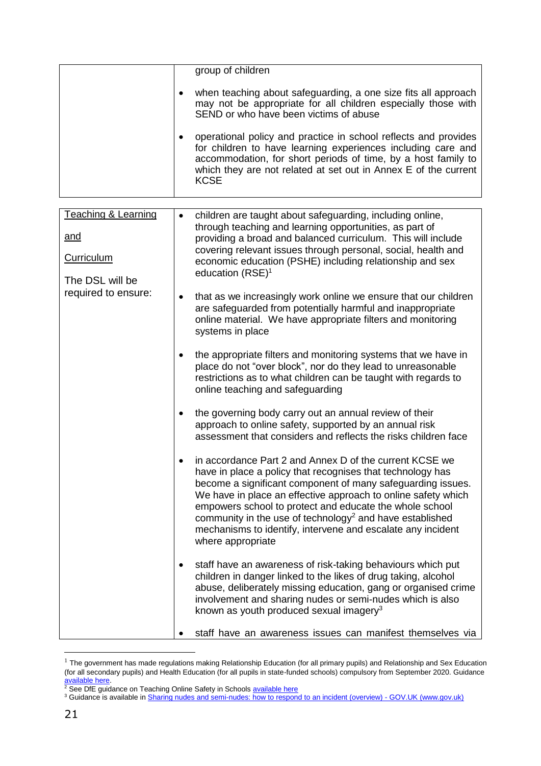|           | group of children                                                                                                                                                                                                                                                                  |
|-----------|------------------------------------------------------------------------------------------------------------------------------------------------------------------------------------------------------------------------------------------------------------------------------------|
| $\bullet$ | when teaching about safeguarding, a one size fits all approach<br>may not be appropriate for all children especially those with<br>SEND or who have been victims of abuse                                                                                                          |
|           | operational policy and practice in school reflects and provides<br>for children to have learning experiences including care and<br>accommodation, for short periods of time, by a host family to<br>which they are not related at set out in Annex E of the current<br><b>KCSE</b> |

| <b>Teaching &amp; Learning</b> | $\bullet$ | children are taught about safeguarding, including online,                                                                                                                                                        |
|--------------------------------|-----------|------------------------------------------------------------------------------------------------------------------------------------------------------------------------------------------------------------------|
| <u>and</u>                     |           | through teaching and learning opportunities, as part of                                                                                                                                                          |
|                                |           | providing a broad and balanced curriculum. This will include<br>covering relevant issues through personal, social, health and                                                                                    |
| <b>Curriculum</b>              |           | economic education (PSHE) including relationship and sex                                                                                                                                                         |
| The DSL will be                |           | education $(RSE)^1$                                                                                                                                                                                              |
| required to ensure:            |           |                                                                                                                                                                                                                  |
|                                | $\bullet$ | that as we increasingly work online we ensure that our children<br>are safeguarded from potentially harmful and inappropriate<br>online material. We have appropriate filters and monitoring<br>systems in place |
|                                | $\bullet$ | the appropriate filters and monitoring systems that we have in<br>place do not "over block", nor do they lead to unreasonable                                                                                    |
|                                |           | restrictions as to what children can be taught with regards to<br>online teaching and safeguarding                                                                                                               |
|                                | $\bullet$ | the governing body carry out an annual review of their                                                                                                                                                           |
|                                |           | approach to online safety, supported by an annual risk                                                                                                                                                           |
|                                |           | assessment that considers and reflects the risks children face                                                                                                                                                   |
|                                | $\bullet$ | in accordance Part 2 and Annex D of the current KCSE we                                                                                                                                                          |
|                                |           | have in place a policy that recognises that technology has                                                                                                                                                       |
|                                |           | become a significant component of many safeguarding issues.<br>We have in place an effective approach to online safety which                                                                                     |
|                                |           | empowers school to protect and educate the whole school                                                                                                                                                          |
|                                |           | community in the use of technology <sup>2</sup> and have established                                                                                                                                             |
|                                |           | mechanisms to identify, intervene and escalate any incident<br>where appropriate                                                                                                                                 |
|                                |           |                                                                                                                                                                                                                  |
|                                | $\bullet$ | staff have an awareness of risk-taking behaviours which put                                                                                                                                                      |
|                                |           | children in danger linked to the likes of drug taking, alcohol<br>abuse, deliberately missing education, gang or organised crime                                                                                 |
|                                |           | involvement and sharing nudes or semi-nudes which is also                                                                                                                                                        |
|                                |           | known as youth produced sexual imagery <sup>3</sup>                                                                                                                                                              |
|                                |           | staff have an awareness issues can manifest themselves via                                                                                                                                                       |

 $1$  The government has made regulations making Relationship Education (for all primary pupils) and Relationship and Sex Education (for all secondary pupils) and Health Education (for all pupils in state-funded schools) compulsory from September 2020. Guidance [available here.](https://www.gov.uk/government/publications/relationships-education-relationships-and-sex-education-rse-and-health-education/implementation-of-relationships-education-relationships-and-sex-education-and-health-education-2020-to-2021)

<sup>&</sup>lt;sup>2</sup> See DfE guidance on Teaching Online Safety in Schools **available here** 

<sup>&</sup>lt;sup>3</sup> Guidance is available in <u>Sharing nudes and semi-nudes: how to respond to an incident (overview) - GOV.UK (www.gov.uk)</u>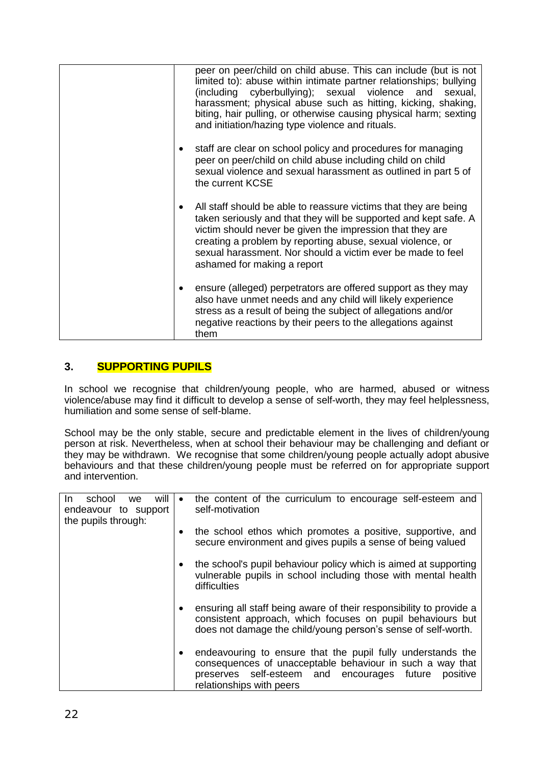| peer on peer/child on child abuse. This can include (but is not<br>limited to): abuse within intimate partner relationships; bullying<br>(including cyberbullying); sexual violence and sexual,<br>harassment; physical abuse such as hitting, kicking, shaking,<br>biting, hair pulling, or otherwise causing physical harm; sexting<br>and initiation/hazing type violence and rituals. |
|-------------------------------------------------------------------------------------------------------------------------------------------------------------------------------------------------------------------------------------------------------------------------------------------------------------------------------------------------------------------------------------------|
| staff are clear on school policy and procedures for managing<br>peer on peer/child on child abuse including child on child<br>sexual violence and sexual harassment as outlined in part 5 of<br>the current KCSE                                                                                                                                                                          |
| All staff should be able to reassure victims that they are being<br>٠<br>taken seriously and that they will be supported and kept safe. A<br>victim should never be given the impression that they are<br>creating a problem by reporting abuse, sexual violence, or<br>sexual harassment. Nor should a victim ever be made to feel<br>ashamed for making a report                        |
| ensure (alleged) perpetrators are offered support as they may<br>٠<br>also have unmet needs and any child will likely experience<br>stress as a result of being the subject of allegations and/or<br>negative reactions by their peers to the allegations against<br>them                                                                                                                 |

# **3. SUPPORTING PUPILS**

In school we recognise that children/young people, who are harmed, abused or witness violence/abuse may find it difficult to develop a sense of self-worth, they may feel helplessness, humiliation and some sense of self-blame.

School may be the only stable, secure and predictable element in the lives of children/young person at risk. Nevertheless, when at school their behaviour may be challenging and defiant or they may be withdrawn. We recognise that some children/young people actually adopt abusive behaviours and that these children/young people must be referred on for appropriate support and intervention.

| will<br>In.<br>school<br>we. | $\bullet$ | the content of the curriculum to encourage self-esteem and          |
|------------------------------|-----------|---------------------------------------------------------------------|
| endeavour to support         |           | self-motivation                                                     |
|                              |           |                                                                     |
| the pupils through:          |           |                                                                     |
|                              |           | the school ethos which promotes a positive, supportive, and         |
|                              |           |                                                                     |
|                              |           | secure environment and gives pupils a sense of being valued         |
|                              |           |                                                                     |
|                              | $\bullet$ | the school's pupil behaviour policy which is aimed at supporting    |
|                              |           |                                                                     |
|                              |           | vulnerable pupils in school including those with mental health      |
|                              |           | difficulties                                                        |
|                              |           |                                                                     |
|                              |           |                                                                     |
|                              | ٠         | ensuring all staff being aware of their responsibility to provide a |
|                              |           | consistent approach, which focuses on pupil behaviours but          |
|                              |           | does not damage the child/young person's sense of self-worth.       |
|                              |           |                                                                     |
|                              |           |                                                                     |
|                              | ٠         | endeavouring to ensure that the pupil fully understands the         |
|                              |           | consequences of unacceptable behaviour in such a way that           |
|                              |           |                                                                     |
|                              |           | preserves self-esteem and encourages future<br>positive             |
|                              |           | relationships with peers                                            |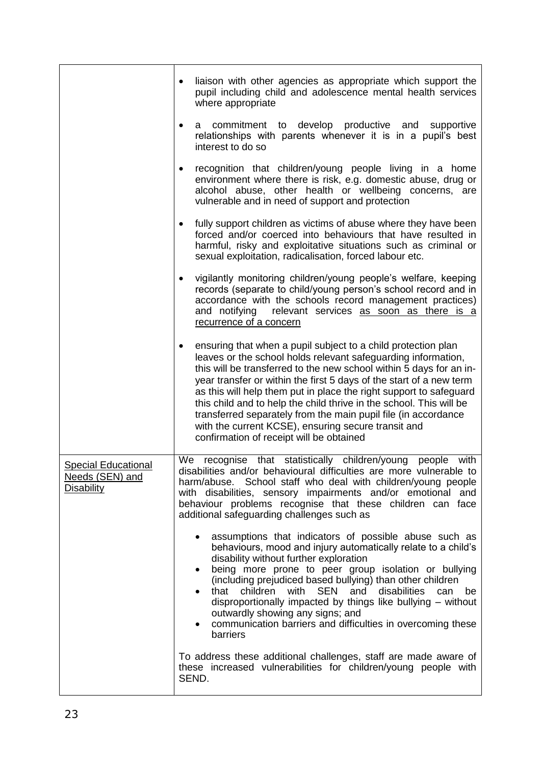|                                                                    | liaison with other agencies as appropriate which support the<br>pupil including child and adolescence mental health services<br>where appropriate                                                                                                                                                                                                                                                                                                                                                                                                                                                   |
|--------------------------------------------------------------------|-----------------------------------------------------------------------------------------------------------------------------------------------------------------------------------------------------------------------------------------------------------------------------------------------------------------------------------------------------------------------------------------------------------------------------------------------------------------------------------------------------------------------------------------------------------------------------------------------------|
|                                                                    | commitment to develop productive and<br>supportive<br>a<br>relationships with parents whenever it is in a pupil's best<br>interest to do so                                                                                                                                                                                                                                                                                                                                                                                                                                                         |
|                                                                    | recognition that children/young people living in a home<br>environment where there is risk, e.g. domestic abuse, drug or<br>alcohol abuse, other health or wellbeing concerns, are<br>vulnerable and in need of support and protection                                                                                                                                                                                                                                                                                                                                                              |
|                                                                    | fully support children as victims of abuse where they have been<br>٠<br>forced and/or coerced into behaviours that have resulted in<br>harmful, risky and exploitative situations such as criminal or<br>sexual exploitation, radicalisation, forced labour etc.                                                                                                                                                                                                                                                                                                                                    |
|                                                                    | vigilantly monitoring children/young people's welfare, keeping<br>٠<br>records (separate to child/young person's school record and in<br>accordance with the schools record management practices)<br>relevant services as soon as there is a<br>and notifying<br>recurrence of a concern                                                                                                                                                                                                                                                                                                            |
|                                                                    | ensuring that when a pupil subject to a child protection plan<br>٠<br>leaves or the school holds relevant safeguarding information,<br>this will be transferred to the new school within 5 days for an in-<br>year transfer or within the first 5 days of the start of a new term<br>as this will help them put in place the right support to safeguard<br>this child and to help the child thrive in the school. This will be<br>transferred separately from the main pupil file (in accordance<br>with the current KCSE), ensuring secure transit and<br>confirmation of receipt will be obtained |
| <b>Special Educational</b><br>Needs (SEN) and<br><b>Disability</b> | We recognise that statistically children/young people with<br>disabilities and/or behavioural difficulties are more vulnerable to<br>harm/abuse. School staff who deal with children/young people<br>with disabilities, sensory impairments and/or emotional and<br>behaviour problems recognise that these children can face<br>additional safeguarding challenges such as                                                                                                                                                                                                                         |
|                                                                    | assumptions that indicators of possible abuse such as<br>$\bullet$<br>behaviours, mood and injury automatically relate to a child's<br>disability without further exploration<br>being more prone to peer group isolation or bullying<br>$\bullet$<br>(including prejudiced based bullying) than other children<br>disabilities<br>that<br>children with<br><b>SEN</b><br>and<br>can<br>be<br>disproportionally impacted by things like bullying - without<br>outwardly showing any signs; and<br>communication barriers and difficulties in overcoming these<br>$\bullet$<br>barriers              |
|                                                                    | To address these additional challenges, staff are made aware of<br>these increased vulnerabilities for children/young people with<br>SEND.                                                                                                                                                                                                                                                                                                                                                                                                                                                          |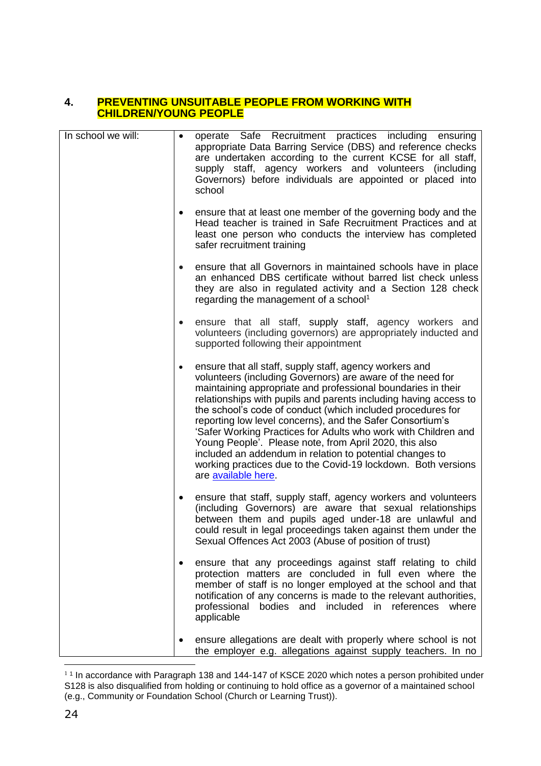#### **4. PREVENTING UNSUITABLE PEOPLE FROM WORKING WITH CHILDREN/YOUNG PEOPLE**

| In school we will: | $\bullet$ | operate Safe Recruitment practices including ensuring<br>appropriate Data Barring Service (DBS) and reference checks<br>are undertaken according to the current KCSE for all staff,<br>supply staff, agency workers and volunteers (including<br>Governors) before individuals are appointed or placed into<br>school                                                                                                                                                                                                                                                                                                                                                 |
|--------------------|-----------|-----------------------------------------------------------------------------------------------------------------------------------------------------------------------------------------------------------------------------------------------------------------------------------------------------------------------------------------------------------------------------------------------------------------------------------------------------------------------------------------------------------------------------------------------------------------------------------------------------------------------------------------------------------------------|
|                    | $\bullet$ | ensure that at least one member of the governing body and the<br>Head teacher is trained in Safe Recruitment Practices and at<br>least one person who conducts the interview has completed<br>safer recruitment training                                                                                                                                                                                                                                                                                                                                                                                                                                              |
|                    | $\bullet$ | ensure that all Governors in maintained schools have in place<br>an enhanced DBS certificate without barred list check unless<br>they are also in regulated activity and a Section 128 check<br>regarding the management of a school <sup>1</sup>                                                                                                                                                                                                                                                                                                                                                                                                                     |
|                    | $\bullet$ | ensure that all staff, supply staff, agency workers and<br>volunteers (including governors) are appropriately inducted and<br>supported following their appointment                                                                                                                                                                                                                                                                                                                                                                                                                                                                                                   |
|                    | $\bullet$ | ensure that all staff, supply staff, agency workers and<br>volunteers (including Governors) are aware of the need for<br>maintaining appropriate and professional boundaries in their<br>relationships with pupils and parents including having access to<br>the school's code of conduct (which included procedures for<br>reporting low level concerns), and the Safer Consortium's<br>'Safer Working Practices for Adults who work with Children and<br>Young People'. Please note, from April 2020, this also<br>included an addendum in relation to potential changes to<br>working practices due to the Covid-19 lockdown. Both versions<br>are available here. |
|                    | $\bullet$ | ensure that staff, supply staff, agency workers and volunteers<br>(including Governors) are aware that sexual relationships<br>between them and pupils aged under-18 are unlawful and<br>could result in legal proceedings taken against them under the<br>Sexual Offences Act 2003 (Abuse of position of trust)                                                                                                                                                                                                                                                                                                                                                      |
|                    |           | ensure that any proceedings against staff relating to child<br>protection matters are concluded in full even where the<br>member of staff is no longer employed at the school and that<br>notification of any concerns is made to the relevant authorities,<br>professional bodies and included in references<br>where<br>applicable                                                                                                                                                                                                                                                                                                                                  |
|                    |           | ensure allegations are dealt with properly where school is not<br>the employer e.g. allegations against supply teachers. In no                                                                                                                                                                                                                                                                                                                                                                                                                                                                                                                                        |

 1 1 In accordance with Paragraph 138 and 144-147 of KSCE 2020 which notes a person prohibited under S128 is also disqualified from holding or continuing to hold office as a governor of a maintained school (e.g., Community or Foundation School (Church or Learning Trust)).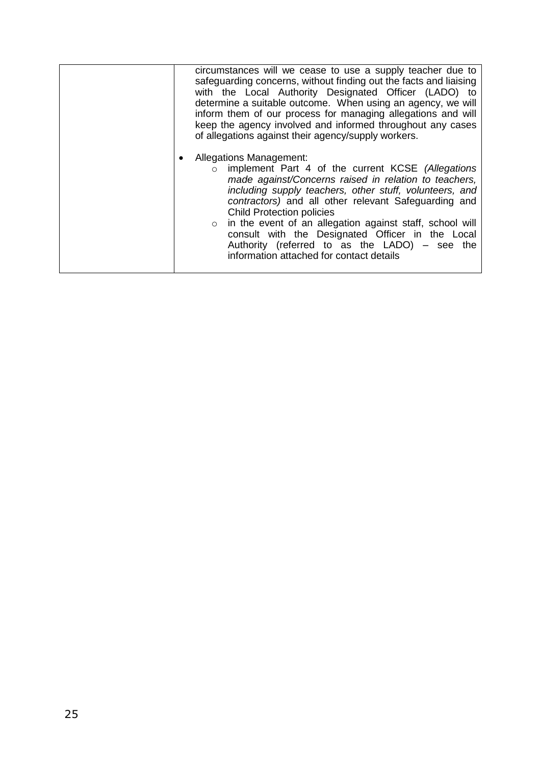| circumstances will we cease to use a supply teacher due to<br>safeguarding concerns, without finding out the facts and liaising<br>with the Local Authority Designated Officer (LADO) to<br>determine a suitable outcome. When using an agency, we will<br>inform them of our process for managing allegations and will<br>keep the agency involved and informed throughout any cases<br>of allegations against their agency/supply workers.                                                                                  |
|-------------------------------------------------------------------------------------------------------------------------------------------------------------------------------------------------------------------------------------------------------------------------------------------------------------------------------------------------------------------------------------------------------------------------------------------------------------------------------------------------------------------------------|
| <b>Allegations Management:</b><br>implement Part 4 of the current KCSE (Allegations<br>$\circ$<br>made against/Concerns raised in relation to teachers,<br>including supply teachers, other stuff, volunteers, and<br>contractors) and all other relevant Safeguarding and<br><b>Child Protection policies</b><br>o in the event of an allegation against staff, school will<br>consult with the Designated Officer in the Local<br>Authority (referred to as the LADO) - see the<br>information attached for contact details |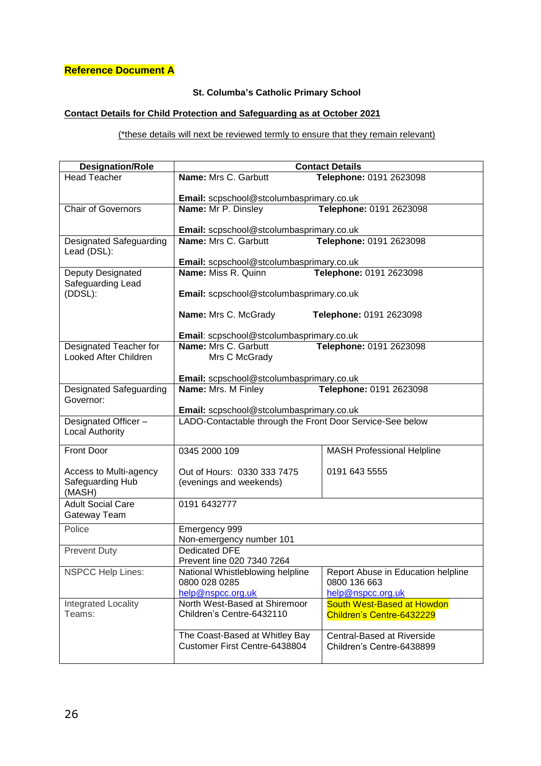# **Reference Document A**

# **St. Columba's Catholic Primary School**

# **Contact Details for Child Protection and Safeguarding as at October 2021**

#### (\*these details will next be reviewed termly to ensure that they remain relevant)

| <b>Designation/Role</b>                       | <b>Contact Details</b>                                    |                                    |
|-----------------------------------------------|-----------------------------------------------------------|------------------------------------|
| <b>Head Teacher</b>                           | Name: Mrs C. Garbutt                                      | Telephone: 0191 2623098            |
|                                               | Email: scpschool@stcolumbasprimary.co.uk                  |                                    |
| <b>Chair of Governors</b>                     | Name: Mr P. Dinsley                                       | Telephone: 0191 2623098            |
|                                               |                                                           |                                    |
|                                               | Email: scpschool@stcolumbasprimary.co.uk                  |                                    |
| <b>Designated Safeguarding</b><br>Lead (DSL): | Name: Mrs C. Garbutt                                      | Telephone: 0191 2623098            |
|                                               | Email: scpschool@stcolumbasprimary.co.uk                  |                                    |
| Deputy Designated<br>Safeguarding Lead        | Name: Miss R. Quinn                                       | Telephone: 0191 2623098            |
| (DDSL):                                       | Email: scpschool@stcolumbasprimary.co.uk                  |                                    |
|                                               | Name: Mrs C. McGrady                                      | Telephone: 0191 2623098            |
|                                               | Email: scpschool@stcolumbasprimary.co.uk                  |                                    |
| Designated Teacher for                        | Name: Mrs C. Garbutt<br>Telephone: 0191 2623098           |                                    |
| Looked After Children                         | Mrs C McGrady<br>Email: scpschool@stcolumbasprimary.co.uk |                                    |
|                                               |                                                           |                                    |
| <b>Designated Safeguarding</b>                | Name: Mrs. M Finley<br>Telephone: 0191 2623098            |                                    |
| Governor:                                     | Email: scpschool@stcolumbasprimary.co.uk                  |                                    |
| Designated Officer-                           | LADO-Contactable through the Front Door Service-See below |                                    |
| <b>Local Authority</b>                        |                                                           |                                    |
| Front Door                                    | 0345 2000 109                                             | <b>MASH Professional Helpline</b>  |
| Access to Multi-agency                        | Out of Hours: 0330 333 7475                               | 0191 643 5555                      |
| Safeguarding Hub                              | (evenings and weekends)                                   |                                    |
| (MASH)                                        |                                                           |                                    |
| <b>Adult Social Care</b>                      | 0191 6432777                                              |                                    |
| Gateway Team                                  |                                                           |                                    |
| Police                                        | Emergency 999                                             |                                    |
|                                               | Non-emergency number 101                                  |                                    |
| <b>Prevent Duty</b>                           | <b>Dedicated DFE</b><br>Prevent line 020 7340 7264        |                                    |
| <b>NSPCC Help Lines:</b>                      | National Whistleblowing helpline                          | Report Abuse in Education helpline |
|                                               | 0800 028 0285                                             | 0800 136 663                       |
|                                               | help@nspcc.org.uk                                         | help@nspcc.org.uk                  |
| Integrated Locality                           | North West-Based at Shiremoor                             | South West-Based at Howdon         |
| Teams:                                        | Children's Centre-6432110                                 | Children's Centre-6432229          |
|                                               | The Coast-Based at Whitley Bay                            | Central-Based at Riverside         |
|                                               | Customer First Centre-6438804                             | Children's Centre-6438899          |
|                                               |                                                           |                                    |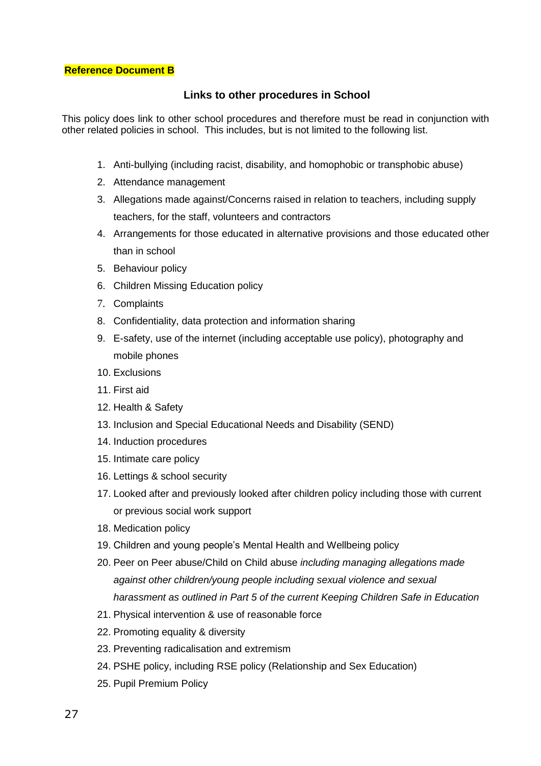#### **Reference Document B**

#### **Links to other procedures in School**

This policy does link to other school procedures and therefore must be read in conjunction with other related policies in school. This includes, but is not limited to the following list.

- 1. Anti-bullying (including racist, disability, and homophobic or transphobic abuse)
- 2. Attendance management
- 3. Allegations made against/Concerns raised in relation to teachers, including supply teachers, for the staff, volunteers and contractors
- 4. Arrangements for those educated in alternative provisions and those educated other than in school
- 5. Behaviour policy
- 6. Children Missing Education policy
- 7. Complaints
- 8. Confidentiality, data protection and information sharing
- 9. E-safety, use of the internet (including acceptable use policy), photography and mobile phones
- 10. Exclusions
- 11. First aid
- 12. Health & Safety
- 13. Inclusion and Special Educational Needs and Disability (SEND)
- 14. Induction procedures
- 15. Intimate care policy
- 16. Lettings & school security
- 17. Looked after and previously looked after children policy including those with current or previous social work support
- 18. Medication policy
- 19. Children and young people's Mental Health and Wellbeing policy
- 20. Peer on Peer abuse/Child on Child abuse *including managing allegations made against other children/young people including sexual violence and sexual harassment as outlined in Part 5 of the current Keeping Children Safe in Education*
- 21. Physical intervention & use of reasonable force
- 22. Promoting equality & diversity
- 23. Preventing radicalisation and extremism
- 24. PSHE policy, including RSE policy (Relationship and Sex Education)
- 25. Pupil Premium Policy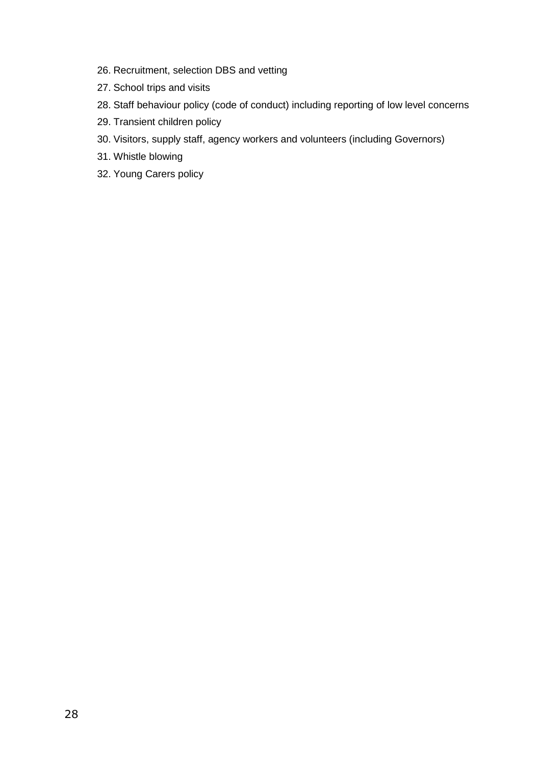- 26. Recruitment, selection DBS and vetting
- 27. School trips and visits
- 28. Staff behaviour policy (code of conduct) including reporting of low level concerns
- 29. Transient children policy
- 30. Visitors, supply staff, agency workers and volunteers (including Governors)
- 31. Whistle blowing
- 32. Young Carers policy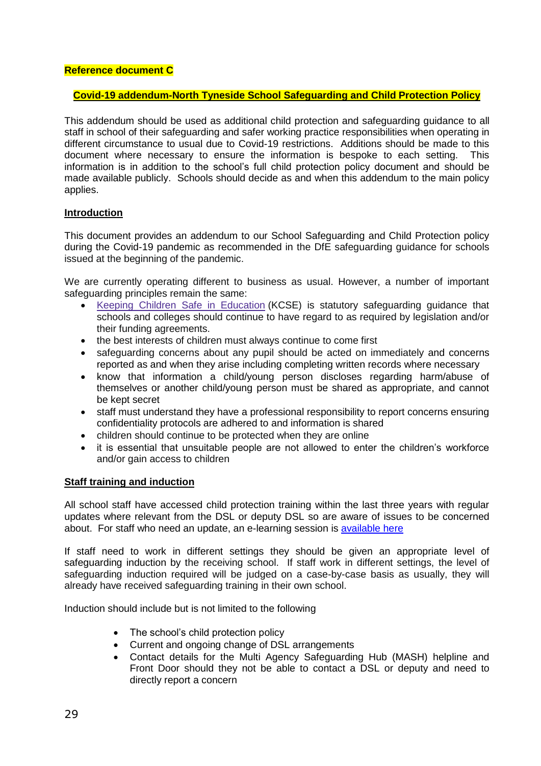#### **Reference document C**

#### **Covid-19 addendum-North Tyneside School Safeguarding and Child Protection Policy**

This addendum should be used as additional child protection and safeguarding guidance to all staff in school of their safeguarding and safer working practice responsibilities when operating in different circumstance to usual due to Covid-19 restrictions. Additions should be made to this document where necessary to ensure the information is bespoke to each setting. This information is in addition to the school's full child protection policy document and should be made available publicly. Schools should decide as and when this addendum to the main policy applies.

#### **Introduction**

This document provides an addendum to our School Safeguarding and Child Protection policy during the Covid-19 pandemic as recommended in the DfE safeguarding guidance for schools issued at the beginning of the pandemic.

We are currently operating different to business as usual. However, a number of important safeguarding principles remain the same:

- Keeping Children Safe in [Education](https://www.gov.uk/government/publications/keeping-children-safe-in-education--2) (KCSE) is statutory safeguarding guidance that schools and colleges should continue to have regard to as required by legislation and/or their funding agreements.
- the best interests of children must always continue to come first
- safeguarding concerns about any pupil should be acted on immediately and concerns reported as and when they arise including completing written records where necessary
- know that information a child/young person discloses regarding harm/abuse of themselves or another child/young person must be shared as appropriate, and cannot be kept secret
- staff must understand they have a professional responsibility to report concerns ensuring confidentiality protocols are adhered to and information is shared
- children should continue to be protected when they are online
- it is essential that unsuitable people are not allowed to enter the children's workforce and/or gain access to children

#### **Staff training and induction**

All school staff have accessed child protection training within the last three years with regular updates where relevant from the DSL or deputy DSL so are aware of issues to be concerned about. For staff who need an update, an e-learning session is [available here](https://forms.gle/nfUcyuCvUkFcKEVs6)

If staff need to work in different settings they should be given an appropriate level of safeguarding induction by the receiving school. If staff work in different settings, the level of safequarding induction required will be judged on a case-by-case basis as usually, they will already have received safeguarding training in their own school.

Induction should include but is not limited to the following

- The school's child protection policy
- Current and ongoing change of DSL arrangements
- Contact details for the Multi Agency Safeguarding Hub (MASH) helpline and Front Door should they not be able to contact a DSL or deputy and need to directly report a concern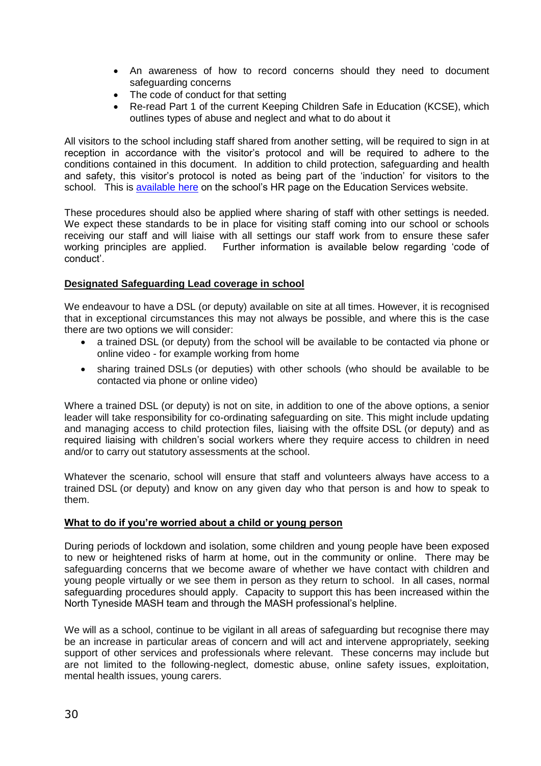- An awareness of how to record concerns should they need to document safeguarding concerns
- The code of conduct for that setting
- Re-read Part 1 of the current Keeping Children Safe in Education (KCSE), which outlines types of abuse and neglect and what to do about it

All visitors to the school including staff shared from another setting, will be required to sign in at reception in accordance with the visitor's protocol and will be required to adhere to the conditions contained in this document. In addition to child protection, safeguarding and health and safety, this visitor's protocol is noted as being part of the 'induction' for visitors to the school. This is [available here](https://secure2.sla-online.co.uk/v3/Resources/Page/11216) on the school's HR page on the Education Services website.

These procedures should also be applied where sharing of staff with other settings is needed. We expect these standards to be in place for visiting staff coming into our school or schools receiving our staff and will liaise with all settings our staff work from to ensure these safer working principles are applied. Further information is available below regarding 'code of conduct'.

# **Designated Safeguarding Lead coverage in school**

We endeavour to have a DSL (or deputy) available on site at all times. However, it is recognised that in exceptional circumstances this may not always be possible, and where this is the case there are two options we will consider:

- a trained DSL (or deputy) from the school will be available to be contacted via phone or online video - for example working from home
- sharing trained DSLs (or deputies) with other schools (who should be available to be contacted via phone or online video)

Where a trained DSL (or deputy) is not on site, in addition to one of the above options, a senior leader will take responsibility for co-ordinating safeguarding on site. This might include updating and managing access to child protection files, liaising with the offsite DSL (or deputy) and as required liaising with children's social workers where they require access to children in need and/or to carry out statutory assessments at the school.

Whatever the scenario, school will ensure that staff and volunteers always have access to a trained DSL (or deputy) and know on any given day who that person is and how to speak to them.

# **What to do if you're worried about a child or young person**

During periods of lockdown and isolation, some children and young people have been exposed to new or heightened risks of harm at home, out in the community or online. There may be safeguarding concerns that we become aware of whether we have contact with children and young people virtually or we see them in person as they return to school. In all cases, normal safeguarding procedures should apply. Capacity to support this has been increased within the North Tyneside MASH team and through the MASH professional's helpline.

We will as a school, continue to be vigilant in all areas of safeguarding but recognise there may be an increase in particular areas of concern and will act and intervene appropriately, seeking support of other services and professionals where relevant. These concerns may include but are not limited to the following-neglect, domestic abuse, online safety issues, exploitation, mental health issues, young carers.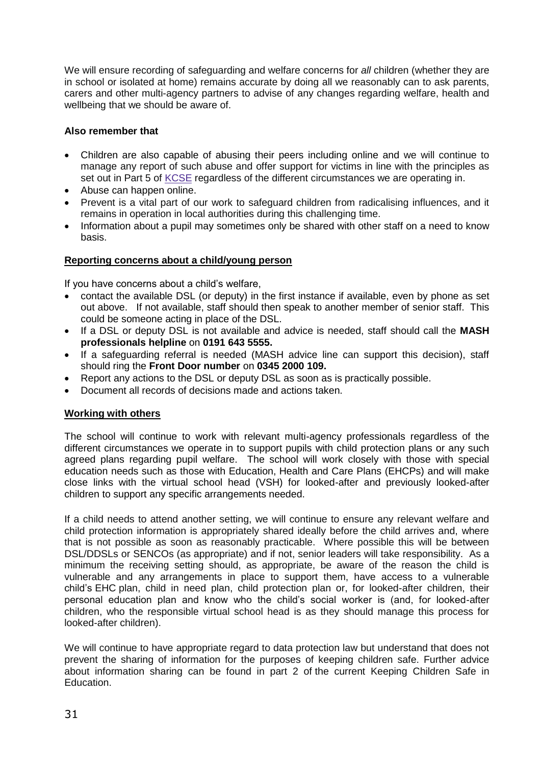We will ensure recording of safeguarding and welfare concerns for *all* children (whether they are in school or isolated at home) remains accurate by doing all we reasonably can to ask parents, carers and other multi-agency partners to advise of any changes regarding welfare, health and wellbeing that we should be aware of.

# **Also remember that**

- Children are also capable of abusing their peers including online and we will continue to manage any report of such abuse and offer support for victims in line with the principles as set out in Part 5 of [KCSE](https://www.gov.uk/government/publications/keeping-children-safe-in-education--2) regardless of the different circumstances we are operating in.
- Abuse can happen online.
- Prevent is a vital part of our work to safeguard children from radicalising influences, and it remains in operation in local authorities during this challenging time.
- Information about a pupil may sometimes only be shared with other staff on a need to know basis.

#### **Reporting concerns about a child/young person**

If you have concerns about a child's welfare,

- contact the available DSL (or deputy) in the first instance if available, even by phone as set out above. If not available, staff should then speak to another member of senior staff. This could be someone acting in place of the DSL.
- If a DSL or deputy DSL is not available and advice is needed, staff should call the **MASH professionals helpline** on **0191 643 5555.**
- If a safeguarding referral is needed (MASH advice line can support this decision), staff should ring the **Front Door number** on **0345 2000 109.**
- Report any actions to the DSL or deputy DSL as soon as is practically possible.
- Document all records of decisions made and actions taken.

#### **Working with others**

The school will continue to work with relevant multi-agency professionals regardless of the different circumstances we operate in to support pupils with child protection plans or any such agreed plans regarding pupil welfare. The school will work closely with those with special education needs such as those with Education, Health and Care Plans (EHCPs) and will make close links with the virtual school head (VSH) for looked-after and previously looked-after children to support any specific arrangements needed.

If a child needs to attend another setting, we will continue to ensure any relevant welfare and child protection information is appropriately shared ideally before the child arrives and, where that is not possible as soon as reasonably practicable. Where possible this will be between DSL/DDSLs or SENCOs (as appropriate) and if not, senior leaders will take responsibility. As a minimum the receiving setting should, as appropriate, be aware of the reason the child is vulnerable and any arrangements in place to support them, have access to a vulnerable child's EHC plan, child in need plan, child protection plan or, for looked-after children, their personal education plan and know who the child's social worker is (and, for looked-after children, who the responsible virtual school head is as they should manage this process for looked-after children).

We will continue to have appropriate regard to data protection law but understand that does not prevent the sharing of information for the purposes of keeping children safe. Further advice about information sharing can be found in part 2 of the current Keeping Children Safe in Education.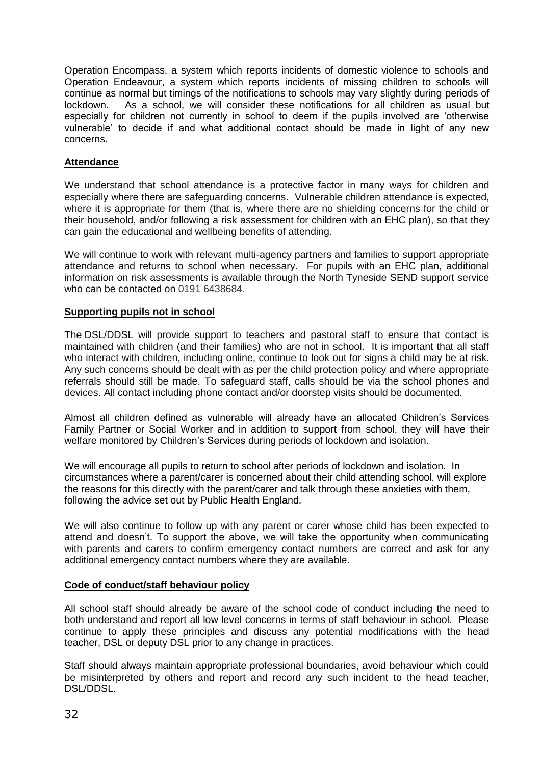Operation Encompass, a system which reports incidents of domestic violence to schools and Operation Endeavour, a system which reports incidents of missing children to schools will continue as normal but timings of the notifications to schools may vary slightly during periods of lockdown. As a school, we will consider these notifications for all children as usual but especially for children not currently in school to deem if the pupils involved are 'otherwise vulnerable' to decide if and what additional contact should be made in light of any new concerns.

#### **Attendance**

We understand that school attendance is a protective factor in many ways for children and especially where there are safeguarding concerns. Vulnerable children attendance is expected, where it is appropriate for them (that is, where there are no shielding concerns for the child or their household, and/or following a risk assessment for children with an EHC plan), so that they can gain the educational and wellbeing benefits of attending.

We will continue to work with relevant multi-agency partners and families to support appropriate attendance and returns to school when necessary. For pupils with an EHC plan, additional information on risk assessments is available through the North Tyneside SEND support service who can be contacted on 0191 6438684.

#### **Supporting pupils not in school**

The DSL/DDSL will provide support to teachers and pastoral staff to ensure that contact is maintained with children (and their families) who are not in school. It is important that all staff who interact with children, including online, continue to look out for signs a child may be at risk. Any such concerns should be dealt with as per the child protection policy and where appropriate referrals should still be made. To safeguard staff, calls should be via the school phones and devices. All contact including phone contact and/or doorstep visits should be documented.

Almost all children defined as vulnerable will already have an allocated Children's Services Family Partner or Social Worker and in addition to support from school, they will have their welfare monitored by Children's Services during periods of lockdown and isolation.

We will encourage all pupils to return to school after periods of lockdown and isolation. In circumstances where a parent/carer is concerned about their child attending school, will explore the reasons for this directly with the parent/carer and talk through these anxieties with them, following the advice set out by Public Health England.

We will also continue to follow up with any parent or carer whose child has been expected to attend and doesn't. To support the above, we will take the opportunity when communicating with parents and carers to confirm emergency contact numbers are correct and ask for any additional emergency contact numbers where they are available.

#### **Code of conduct/staff behaviour policy**

All school staff should already be aware of the school code of conduct including the need to both understand and report all low level concerns in terms of staff behaviour in school. Please continue to apply these principles and discuss any potential modifications with the head teacher, DSL or deputy DSL prior to any change in practices.

Staff should always maintain appropriate professional boundaries, avoid behaviour which could be misinterpreted by others and report and record any such incident to the head teacher, DSL/DDSL.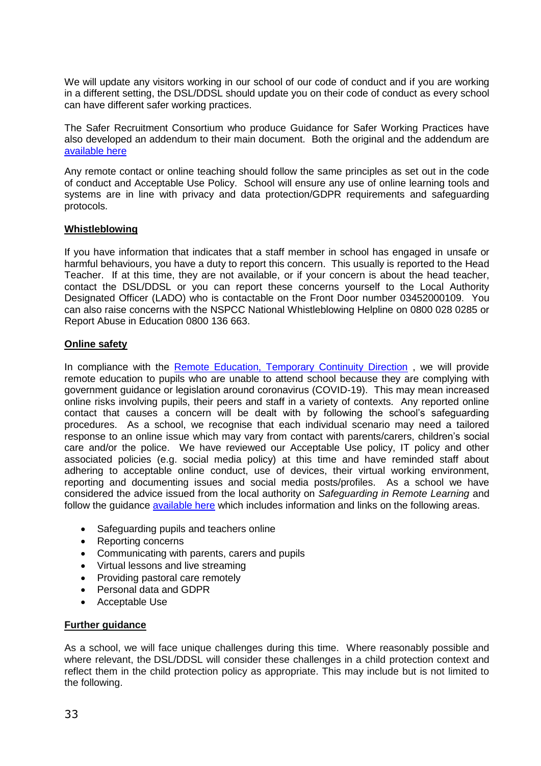We will update any visitors working in our school of our code of conduct and if you are working in a different setting, the DSL/DDSL should update you on their code of conduct as every school can have different safer working practices.

The Safer Recruitment Consortium who produce Guidance for Safer Working Practices have also developed an addendum to their main document. Both the original and the addendum are [available here](https://www.saferrecruitmentconsortium.org/)

Any remote contact or online teaching should follow the same principles as set out in the code of conduct and Acceptable Use Policy. School will ensure any use of online learning tools and systems are in line with privacy and data protection/GDPR requirements and safeguarding protocols.

#### **Whistleblowing**

If you have information that indicates that a staff member in school has engaged in unsafe or harmful behaviours, you have a duty to report this concern. This usually is reported to the Head Teacher. If at this time, they are not available, or if your concern is about the head teacher, contact the DSL/DDSL or you can report these concerns yourself to the Local Authority Designated Officer (LADO) who is contactable on the Front Door number 03452000109. You can also raise concerns with the NSPCC National Whistleblowing Helpline on 0800 028 0285 or Report Abuse in Education 0800 136 663.

#### **Online safety**

In compliance with the [Remote Education, Temporary Continuity Direction](https://assets.publishing.service.gov.uk/government/uploads/system/uploads/attachment_data/file/923539/Remote_Education_Temporary_Continuity_Direction_-__Explanatory_Note.pdf), we will provide remote education to pupils who are unable to attend school because they are complying with government guidance or legislation around coronavirus (COVID-19). This may mean increased online risks involving pupils, their peers and staff in a variety of contexts. Any reported online contact that causes a concern will be dealt with by following the school's safeguarding procedures. As a school, we recognise that each individual scenario may need a tailored response to an online issue which may vary from contact with parents/carers, children's social care and/or the police. We have reviewed our Acceptable Use policy, IT policy and other associated policies (e.g. social media policy) at this time and have reminded staff about adhering to acceptable online conduct, use of devices, their virtual working environment, reporting and documenting issues and social media posts/profiles. As a school we have considered the advice issued from the local authority on *Safeguarding in Remote Learning* and follow the guidance [available here](https://www.gov.uk/guidance/safeguarding-and-remote-education-during-coronavirus-covid-19) which includes information and links on the following areas.

- Safeguarding pupils and teachers online
- Reporting concerns
- Communicating with parents, carers and pupils
- Virtual lessons and live streaming
- Providing pastoral care remotely
- Personal data and GDPR
- Acceptable Use

#### **Further guidance**

As a school, we will face unique challenges during this time. Where reasonably possible and where relevant, the DSL/DDSL will consider these challenges in a child protection context and reflect them in the child protection policy as appropriate. This may include but is not limited to the following.